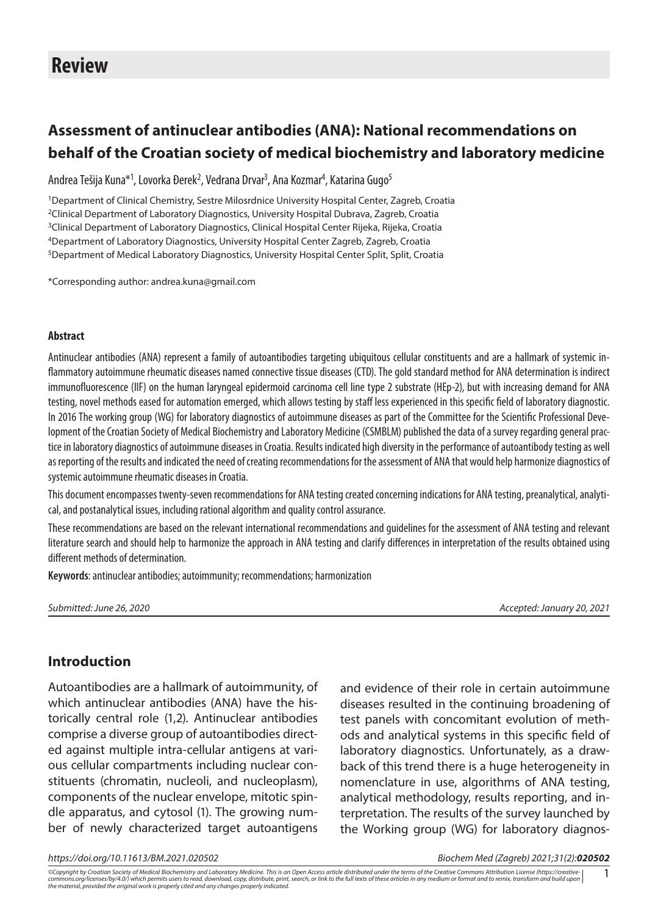# **Assessment of antinuclear antibodies (ANA): National recommendations on behalf of the Croatian society of medical biochemistry and laboratory medicine**

Andrea Tešija Kuna\*<sup>1</sup>, Lovorka Đerek<sup>2</sup>, Vedrana Drvar<sup>3</sup>, Ana Kozmar<sup>4</sup>, Katarina Gugo<sup>5</sup>

1Department of Clinical Chemistry, Sestre Milosrdnice University Hospital Center, Zagreb, Croatia 2Clinical Department of Laboratory Diagnostics, University Hospital Dubrava, Zagreb, Croatia 3Clinical Department of Laboratory Diagnostics, Clinical Hospital Center Rijeka, Rijeka, Croatia 4Department of Laboratory Diagnostics, University Hospital Center Zagreb, Zagreb, Croatia 5Department of Medical Laboratory Diagnostics, University Hospital Center Split, Split, Croatia

\*Corresponding author: [andrea.kuna@gmail.com](mailto:andrea.kuna@gmail.com)

#### **Abstract**

Antinuclear antibodies (ANA) represent a family of autoantibodies targeting ubiquitous cellular constituents and are a hallmark of systemic inflammatory autoimmune rheumatic diseases named connective tissue diseases (CTD). The gold standard method for ANA determination is indirect immunofluorescence (IIF) on the human laryngeal epidermoid carcinoma cell line type 2 substrate (HEp-2), but with increasing demand for ANA testing, novel methods eased for automation emerged, which allows testing by staff less experienced in this specific field of laboratory diagnostic. In 2016 The working group (WG) for laboratory diagnostics of autoimmune diseases as part of the Committee for the Scientific Professional Development of the Croatian Society of Medical Biochemistry and Laboratory Medicine (CSMBLM) published the data of a survey regarding general practice in laboratory diagnostics of autoimmune diseases in Croatia. Results indicated high diversity in the performance of autoantibody testing as well as reporting of the results and indicated the need of creating recommendations for the assessment of ANA that would help harmonize diagnostics of systemic autoimmune rheumatic diseases in Croatia.

This document encompasses twenty-seven recommendations for ANA testing created concerning indications for ANA testing, preanalytical, analytical, and postanalytical issues, including rational algorithm and quality control assurance.

These recommendations are based on the relevant international recommendations and guidelines for the assessment of ANA testing and relevant literature search and should help to harmonize the approach in ANA testing and clarify differences in interpretation of the results obtained using different methods of determination.

**Keywords**: antinuclear antibodies; autoimmunity; recommendations; harmonization

*Submitted: June 26, 2020 Accepted: January 20, 2021*

### **Introduction**

Autoantibodies are a hallmark of autoimmunity, of which antinuclear antibodies (ANA) have the historically central role (1,2). Antinuclear antibodies comprise a diverse group of autoantibodies directed against multiple intra-cellular antigens at various cellular compartments including nuclear constituents (chromatin, nucleoli, and nucleoplasm), components of the nuclear envelope, mitotic spindle apparatus, and cytosol (1). The growing number of newly characterized target autoantigens

and evidence of their role in certain autoimmune diseases resulted in the continuing broadening of test panels with concomitant evolution of methods and analytical systems in this specific field of laboratory diagnostics. Unfortunately, as a drawback of this trend there is a huge heterogeneity in nomenclature in use, algorithms of ANA testing, analytical methodology, results reporting, and interpretation. The results of the survey launched by the Working group (WG) for laboratory diagnos-

*https://doi.org/10.11613/BM.2021.020502 Biochem Med (Zagreb) 2021;31(2):020502*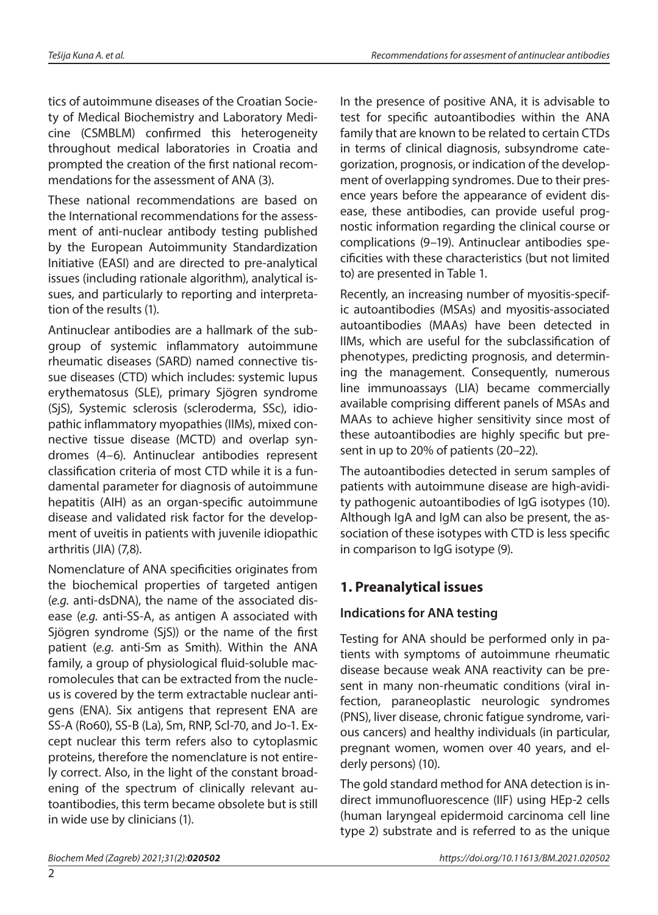tics of autoimmune diseases of the Croatian Society of Medical Biochemistry and Laboratory Medicine (CSMBLM) confirmed this heterogeneity throughout medical laboratories in Croatia and prompted the creation of the first national recommendations for the assessment of ANA (3).

These national recommendations are based on the International recommendations for the assessment of anti-nuclear antibody testing published by the European Autoimmunity Standardization Initiative (EASI) and are directed to pre-analytical issues (including rationale algorithm), analytical issues, and particularly to reporting and interpretation of the results (1).

Antinuclear antibodies are a hallmark of the subgroup of systemic inflammatory autoimmune rheumatic diseases (SARD) named connective tissue diseases (CTD) which includes: systemic lupus erythematosus (SLE), primary Sjögren syndrome (SjS), Systemic sclerosis (scleroderma, SSc), idiopathic inflammatory myopathies (IIMs), mixed connective tissue disease (MCTD) and overlap syndromes (4–6). Antinuclear antibodies represent classification criteria of most CTD while it is a fundamental parameter for diagnosis of autoimmune hepatitis (AIH) as an organ-specific autoimmune disease and validated risk factor for the development of uveitis in patients with juvenile idiopathic arthritis (JIA) (7,8).

Nomenclature of ANA specificities originates from the biochemical properties of targeted antigen (*e.g.* anti-dsDNA), the name of the associated disease (*e.g.* anti-SS-A, as antigen A associated with Sjögren syndrome (SjS)) or the name of the first patient (*e.g.* anti-Sm as Smith). Within the ANA family, a group of physiological fluid-soluble macromolecules that can be extracted from the nucleus is covered by the term extractable nuclear antigens (ENA). Six antigens that represent ENA are SS-A (Ro60), SS-B (La), Sm, RNP, Scl-70, and Jo-1. Except nuclear this term refers also to cytoplasmic proteins, therefore the nomenclature is not entirely correct. Also, in the light of the constant broadening of the spectrum of clinically relevant autoantibodies, this term became obsolete but is still in wide use by clinicians (1).

In the presence of positive ANA, it is advisable to test for specific autoantibodies within the ANA family that are known to be related to certain CTDs in terms of clinical diagnosis, subsyndrome categorization, prognosis, or indication of the development of overlapping syndromes. Due to their presence years before the appearance of evident disease, these antibodies, can provide useful prognostic information regarding the clinical course or complications (9–19). Antinuclear antibodies specificities with these characteristics (but not limited to) are presented in Table 1.

Recently, an increasing number of myositis-specific autoantibodies (MSAs) and myositis-associated autoantibodies (MAAs) have been detected in IIMs, which are useful for the subclassification of phenotypes, predicting prognosis, and determining the management. Consequently, numerous line immunoassays (LIA) became commercially available comprising different panels of MSAs and MAAs to achieve higher sensitivity since most of these autoantibodies are highly specific but present in up to 20% of patients (20–22).

The autoantibodies detected in serum samples of patients with autoimmune disease are high-avidity pathogenic autoantibodies of IgG isotypes (10). Although IgA and IgM can also be present, the association of these isotypes with CTD is less specific in comparison to IgG isotype (9).

# **1. Preanalytical issues**

# **Indications for ANA testing**

Testing for ANA should be performed only in patients with symptoms of autoimmune rheumatic disease because weak ANA reactivity can be present in many non-rheumatic conditions (viral infection, paraneoplastic neurologic syndromes (PNS), liver disease, chronic fatigue syndrome, various cancers) and healthy individuals (in particular, pregnant women, women over 40 years, and elderly persons) (10).

The gold standard method for ANA detection is indirect immunofluorescence (IIF) using HEp-2 cells (human laryngeal epidermoid carcinoma cell line type 2) substrate and is referred to as the unique

 $\overline{2}$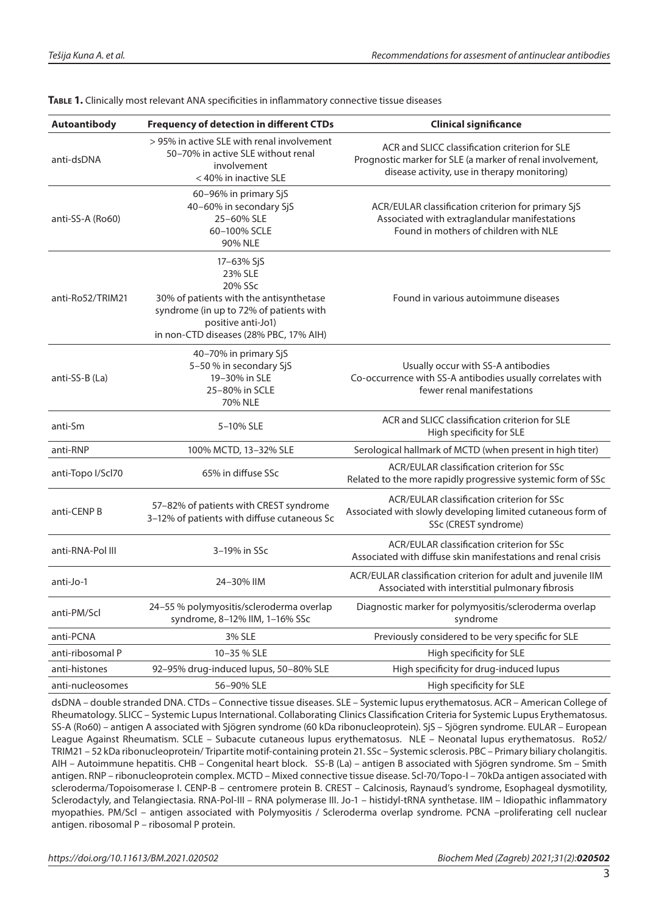| <b>Autoantibody</b>            | <b>Frequency of detection in different CTDs</b>                                                                                                                                        | <b>Clinical significance</b>                                                                                                                                |
|--------------------------------|----------------------------------------------------------------------------------------------------------------------------------------------------------------------------------------|-------------------------------------------------------------------------------------------------------------------------------------------------------------|
| anti-dsDNA                     | > 95% in active SLE with renal involvement<br>50-70% in active SLE without renal<br>involvement<br>< 40% in inactive SLE                                                               | ACR and SLICC classification criterion for SLE<br>Prognostic marker for SLE (a marker of renal involvement,<br>disease activity, use in therapy monitoring) |
| anti-SS-A (Ro60)               | 60-96% in primary SjS<br>40-60% in secondary SjS<br>25-60% SLE<br>60-100% SCLE<br>90% NLE                                                                                              | ACR/EULAR classification criterion for primary SjS<br>Associated with extraglandular manifestations<br>Found in mothers of children with NLE                |
| anti-Ro52/TRIM21               | 17-63% SjS<br>23% SLE<br>20% SSc<br>30% of patients with the antisynthetase<br>syndrome (in up to 72% of patients with<br>positive anti-Jo1)<br>in non-CTD diseases (28% PBC, 17% AIH) | Found in various autoimmune diseases                                                                                                                        |
| anti-SS-B (La)                 | 40–70% in primary SjS<br>5-50 % in secondary SjS<br>19-30% in SLE<br>25-80% in SCLE<br>70% NLE                                                                                         | Usually occur with SS-A antibodies<br>Co-occurrence with SS-A antibodies usually correlates with<br>fewer renal manifestations                              |
| anti-Sm                        | 5-10% SLE                                                                                                                                                                              | ACR and SLICC classification criterion for SLE<br>High specificity for SLE                                                                                  |
| anti-RNP                       | 100% MCTD, 13-32% SLE                                                                                                                                                                  | Serological hallmark of MCTD (when present in high titer)                                                                                                   |
| anti-Topo I/Scl70              | 65% in diffuse SSc                                                                                                                                                                     | ACR/EULAR classification criterion for SSc<br>Related to the more rapidly progressive systemic form of SSc                                                  |
| anti-CENP B                    | 57-82% of patients with CREST syndrome<br>3-12% of patients with diffuse cutaneous Sc                                                                                                  | ACR/EULAR classification criterion for SSc<br>Associated with slowly developing limited cutaneous form of<br>SSc (CREST syndrome)                           |
| anti-RNA-Pol III               | 3-19% in SSc                                                                                                                                                                           | ACR/EULAR classification criterion for SSc<br>Associated with diffuse skin manifestations and renal crisis                                                  |
| anti-Jo-1                      | 24-30% IIM                                                                                                                                                                             | ACR/EULAR classification criterion for adult and juvenile IIM<br>Associated with interstitial pulmonary fibrosis                                            |
| anti-PM/Scl                    | 24-55 % polymyositis/scleroderma overlap<br>syndrome, 8-12% IIM, 1-16% SSc                                                                                                             | Diagnostic marker for polymyositis/scleroderma overlap<br>syndrome                                                                                          |
| anti-PCNA                      | 3% SLE                                                                                                                                                                                 | Previously considered to be very specific for SLE                                                                                                           |
| anti-ribosomal P               | 10-35 % SLE                                                                                                                                                                            | High specificity for SLE                                                                                                                                    |
| anti-histones                  | 92-95% drug-induced lupus, 50-80% SLE                                                                                                                                                  | High specificity for drug-induced lupus                                                                                                                     |
| 56-90% SLE<br>anti-nucleosomes |                                                                                                                                                                                        | High specificity for SLE                                                                                                                                    |

**Table 1.** Clinically most relevant ANA specificities in inflammatory connective tissue diseases

dsDNA – double stranded DNA. CTDs – Connective tissue diseases. SLE – Systemic lupus erythematosus. ACR – American College of Rheumatology. SLICC – Systemic Lupus International. Collaborating Clinics Classification Criteria for Systemic Lupus Erythematosus. SS-A (Ro60) – antigen A associated with Sjögren syndrome (60 kDa ribonucleoprotein). SjS – Sjögren syndrome. EULAR – European League Against Rheumatism. SCLE – Subacute cutaneous lupus erythematosus. NLE – Neonatal lupus erythematosus. Ro52/ TRIM21 – 52 kDa ribonucleoprotein/ Tripartite motif-containing protein 21. SSc – Systemic sclerosis. PBC – Primary biliary cholangitis. AIH – Autoimmune hepatitis. CHB – Congenital heart block. SS-B (La) – antigen B associated with Sjögren syndrome. Sm – Smith antigen. RNP – ribonucleoprotein complex. MCTD – Mixed connective tissue disease. Scl-70/Topo-I – 70kDa antigen associated with scleroderma/Topoisomerase I. CENP-B – centromere protein B. CREST – Calcinosis, Raynaud's syndrome, Esophageal dysmotility, Sclerodactyly, and Telangiectasia. RNA-Pol-III – RNA polymerase III. Jo-1 – histidyl-tRNA synthetase. IIM – Idiopathic inflammatory myopathies. PM/Scl – antigen associated with Polymyositis / Scleroderma overlap syndrome. PCNA –proliferating cell nuclear antigen. ribosomal P – ribosomal P protein.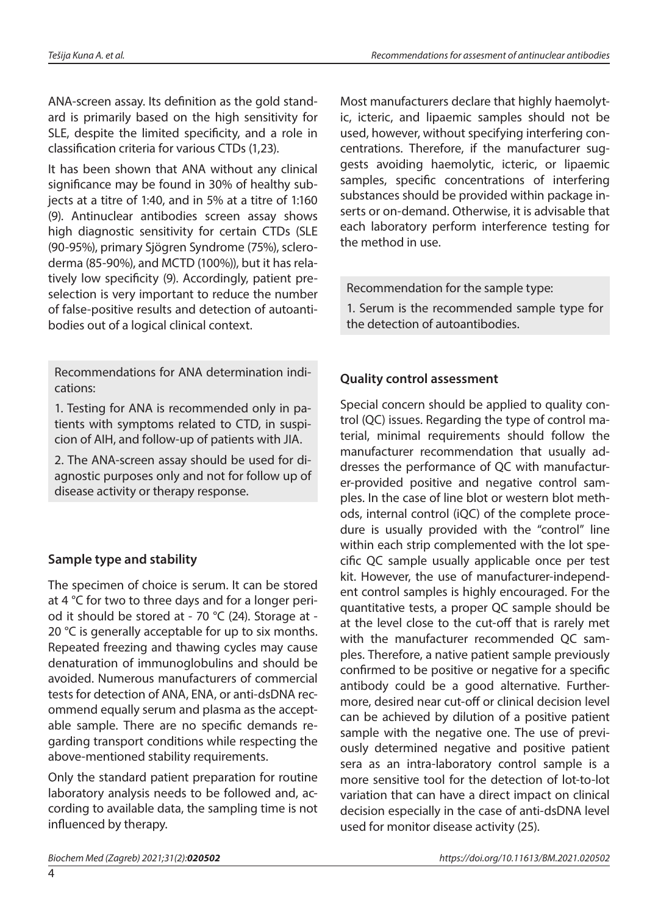ANA-screen assay. Its definition as the gold standard is primarily based on the high sensitivity for SLE, despite the limited specificity, and a role in classification criteria for various CTDs (1,23).

It has been shown that ANA without any clinical significance may be found in 30% of healthy subjects at a titre of 1:40, and in 5% at a titre of 1:160 (9). Antinuclear antibodies screen assay shows high diagnostic sensitivity for certain CTDs (SLE (90-95%), primary Sjögren Syndrome (75%), scleroderma (85-90%), and MCTD (100%)), but it has relatively low specificity (9). Accordingly, patient preselection is very important to reduce the number of false-positive results and detection of autoantibodies out of a logical clinical context.

Recommendations for ANA determination indications:

1. Testing for ANA is recommended only in patients with symptoms related to CTD, in suspicion of AIH, and follow-up of patients with JIA.

2. The ANA-screen assay should be used for diagnostic purposes only and not for follow up of disease activity or therapy response.

# **Sample type and stability**

The specimen of choice is serum. It can be stored at 4 °C for two to three days and for a longer period it should be stored at - 70 °C (24). Storage at - 20 °C is generally acceptable for up to six months. Repeated freezing and thawing cycles may cause denaturation of immunoglobulins and should be avoided. Numerous manufacturers of commercial tests for detection of ANA, ENA, or anti-dsDNA recommend equally serum and plasma as the acceptable sample. There are no specific demands regarding transport conditions while respecting the above-mentioned stability requirements.

Only the standard patient preparation for routine laboratory analysis needs to be followed and, according to available data, the sampling time is not influenced by therapy.

Most manufacturers declare that highly haemolytic, icteric, and lipaemic samples should not be used, however, without specifying interfering concentrations. Therefore, if the manufacturer suggests avoiding haemolytic, icteric, or lipaemic samples, specific concentrations of interfering substances should be provided within package inserts or on-demand. Otherwise, it is advisable that each laboratory perform interference testing for the method in use.

Recommendation for the sample type:

1. Serum is the recommended sample type for the detection of autoantibodies.

# **Quality control assessment**

Special concern should be applied to quality control (QC) issues. Regarding the type of control material, minimal requirements should follow the manufacturer recommendation that usually addresses the performance of QC with manufacturer-provided positive and negative control samples. In the case of line blot or western blot methods, internal control (iQC) of the complete procedure is usually provided with the "control" line within each strip complemented with the lot specific QC sample usually applicable once per test kit. However, the use of manufacturer-independent control samples is highly encouraged. For the quantitative tests, a proper QC sample should be at the level close to the cut-off that is rarely met with the manufacturer recommended QC samples. Therefore, a native patient sample previously confirmed to be positive or negative for a specific antibody could be a good alternative. Furthermore, desired near cut-off or clinical decision level can be achieved by dilution of a positive patient sample with the negative one. The use of previously determined negative and positive patient sera as an intra-laboratory control sample is a more sensitive tool for the detection of lot-to-lot variation that can have a direct impact on clinical decision especially in the case of anti-dsDNA level used for monitor disease activity (25).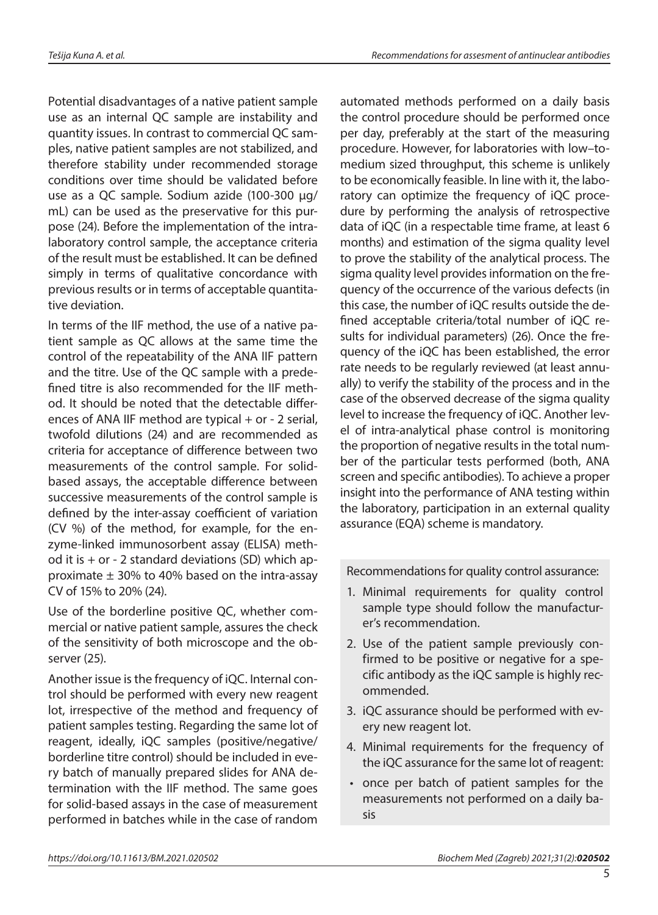Potential disadvantages of a native patient sample use as an internal QC sample are instability and quantity issues. In contrast to commercial QC samples, native patient samples are not stabilized, and therefore stability under recommended storage conditions over time should be validated before use as a QC sample. Sodium azide (100-300 µg/ mL) can be used as the preservative for this purpose (24). Before the implementation of the intralaboratory control sample, the acceptance criteria of the result must be established. It can be defined simply in terms of qualitative concordance with previous results or in terms of acceptable quantitative deviation.

In terms of the IIF method, the use of a native patient sample as QC allows at the same time the control of the repeatability of the ANA IIF pattern and the titre. Use of the QC sample with a predefined titre is also recommended for the IIF method. It should be noted that the detectable differences of ANA IIF method are typical + or - 2 serial, twofold dilutions (24) and are recommended as criteria for acceptance of difference between two measurements of the control sample. For solidbased assays, the acceptable difference between successive measurements of the control sample is defined by the inter-assay coefficient of variation (CV %) of the method, for example, for the enzyme-linked immunosorbent assay (ELISA) method it is  $+$  or - 2 standard deviations (SD) which approximate  $\pm$  30% to 40% based on the intra-assay CV of 15% to 20% (24).

Use of the borderline positive QC, whether commercial or native patient sample, assures the check of the sensitivity of both microscope and the observer (25).

Another issue is the frequency of iQC. Internal control should be performed with every new reagent lot, irrespective of the method and frequency of patient samples testing. Regarding the same lot of reagent, ideally, iQC samples (positive/negative/ borderline titre control) should be included in every batch of manually prepared slides for ANA determination with the IIF method. The same goes for solid-based assays in the case of measurement performed in batches while in the case of random

automated methods performed on a daily basis the control procedure should be performed once per day, preferably at the start of the measuring procedure. However, for laboratories with low–tomedium sized throughput, this scheme is unlikely to be economically feasible. In line with it, the laboratory can optimize the frequency of iQC procedure by performing the analysis of retrospective data of iQC (in a respectable time frame, at least 6 months) and estimation of the sigma quality level to prove the stability of the analytical process. The sigma quality level provides information on the frequency of the occurrence of the various defects (in this case, the number of iQC results outside the defined acceptable criteria/total number of iQC results for individual parameters) (26). Once the frequency of the iQC has been established, the error rate needs to be regularly reviewed (at least annually) to verify the stability of the process and in the case of the observed decrease of the sigma quality level to increase the frequency of iQC. Another level of intra-analytical phase control is monitoring the proportion of negative results in the total number of the particular tests performed (both, ANA screen and specific antibodies). To achieve a proper insight into the performance of ANA testing within the laboratory, participation in an external quality assurance (EQA) scheme is mandatory.

Recommendations for quality control assurance:

- 1. Minimal requirements for quality control sample type should follow the manufacturer's recommendation.
- 2. Use of the patient sample previously confirmed to be positive or negative for a specific antibody as the iQC sample is highly recommended.
- 3. iQC assurance should be performed with every new reagent lot.
- 4. Minimal requirements for the frequency of the iQC assurance for the same lot of reagent:
- once per batch of patient samples for the measurements not performed on a daily basis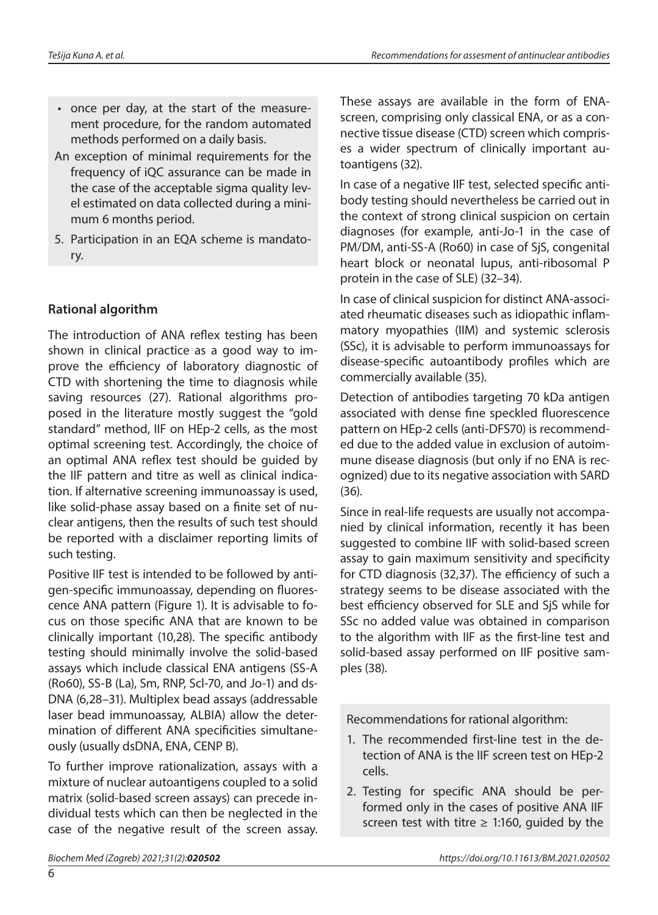- once per day, at the start of the measurement procedure, for the random automated methods performed on a daily basis.
- An exception of minimal requirements for the frequency of iQC assurance can be made in the case of the acceptable sigma quality level estimated on data collected during a minimum 6 months period.
- 5. Participation in an EQA scheme is mandatory.

# **Rational algorithm**

The introduction of ANA reflex testing has been shown in clinical practice as a good way to improve the efficiency of laboratory diagnostic of CTD with shortening the time to diagnosis while saving resources (27). Rational algorithms proposed in the literature mostly suggest the "gold standard" method, IIF on HEp-2 cells, as the most optimal screening test. Accordingly, the choice of an optimal ANA reflex test should be guided by the IIF pattern and titre as well as clinical indication. If alternative screening immunoassay is used, like solid-phase assay based on a finite set of nuclear antigens, then the results of such test should be reported with a disclaimer reporting limits of such testing.

Positive IIF test is intended to be followed by antigen-specific immunoassay, depending on fluorescence ANA pattern (Figure 1). It is advisable to focus on those specific ANA that are known to be clinically important (10,28). The specific antibody testing should minimally involve the solid-based assays which include classical ENA antigens (SS-A (Ro60), SS-B (La), Sm, RNP, Scl-70, and Jo-1) and ds-DNA (6,28–31). Multiplex bead assays (addressable laser bead immunoassay, ALBIA) allow the determination of different ANA specificities simultaneously (usually dsDNA, ENA, CENP B).

To further improve rationalization, assays with a mixture of nuclear autoantigens coupled to a solid matrix (solid-based screen assays) can precede individual tests which can then be neglected in the case of the negative result of the screen assay. These assays are available in the form of ENAscreen, comprising only classical ENA, or as a connective tissue disease (CTD) screen which comprises a wider spectrum of clinically important autoantigens (32).

In case of a negative IIF test, selected specific antibody testing should nevertheless be carried out in the context of strong clinical suspicion on certain diagnoses (for example, anti-Jo-1 in the case of PM/DM, anti-SS-A (Ro60) in case of SjS, congenital heart block or neonatal lupus, anti-ribosomal P protein in the case of SLE) (32–34).

In case of clinical suspicion for distinct ANA-associated rheumatic diseases such as idiopathic inflammatory myopathies (IIM) and systemic sclerosis (SSc), it is advisable to perform immunoassays for disease-specific autoantibody profiles which are commercially available (35).

Detection of antibodies targeting 70 kDa antigen associated with dense fine speckled fluorescence pattern on HEp-2 cells (anti-DFS70) is recommended due to the added value in exclusion of autoimmune disease diagnosis (but only if no ENA is recognized) due to its negative association with SARD (36).

Since in real-life requests are usually not accompanied by clinical information, recently it has been suggested to combine IIF with solid-based screen assay to gain maximum sensitivity and specificity for CTD diagnosis (32,37). The efficiency of such a strategy seems to be disease associated with the best efficiency observed for SLE and SjS while for SSc no added value was obtained in comparison to the algorithm with IIF as the first-line test and solid-based assay performed on IIF positive samples (38).

Recommendations for rational algorithm:

- 1. The recommended first-line test in the detection of ANA is the IIF screen test on HEp-2 cells.
- 2. Testing for specific ANA should be performed only in the cases of positive ANA IIF screen test with titre  $\geq$  1:160, guided by the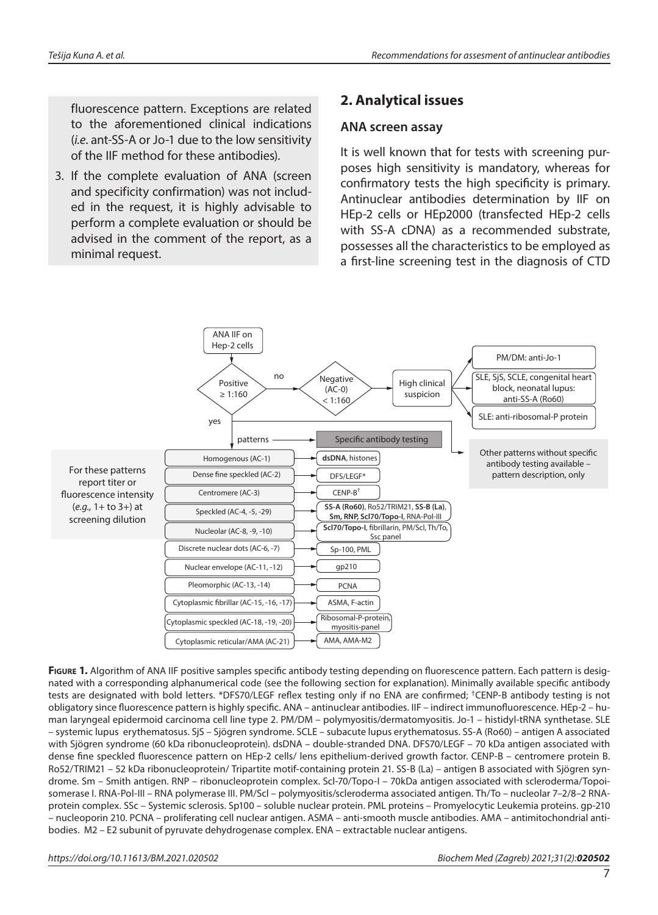fluorescence pattern. Exceptions are related to the aforementioned clinical indications (*i.e*. ant-SS-A or Jo-1 due to the low sensitivity of the IIF method for these antibodies).

3. If the complete evaluation of ANA (screen and specificity confirmation) was not included in the request, it is highly advisable to perform a complete evaluation or should be advised in the comment of the report, as a minimal request.

# **2. Analytical issues**

#### **ANA screen assay**

It is well known that for tests with screening purposes high sensitivity is mandatory, whereas for confirmatory tests the high specificity is primary. Antinuclear antibodies determination by IIF on HEp-2 cells or HEp2000 (transfected HEp-2 cells with SS-A cDNA) as a recommended substrate, possesses all the characteristics to be employed as a first-line screening test in the diagnosis of CTD



**FIGURE 1.** Algorithm of ANA IIF positive samples specific antibody testing depending on fluorescence pattern. Each pattern is designated with a corresponding alphanumerical code (see the following section for explanation). Minimally available specific antibody tests are designated with bold letters. \*DFS70/LEGF reflex testing only if no ENA are confirmed; †CENP-B antibody testing is not obligatory since fluorescence pattern is highly specific. ANA – antinuclear antibodies. IIF – indirect immunofluorescence. HEp-2 – human laryngeal epidermoid carcinoma cell line type 2. PM/DM – polymyositis/dermatomyositis. Jo-1 – histidyl-tRNA synthetase. SLE – systemic lupus erythematosus. SjS – Sjögren syndrome. SCLE – subacute lupus erythematosus. SS-A (Ro60) – antigen A associated with Sjögren syndrome (60 kDa ribonucleoprotein). dsDNA – double-stranded DNA. DFS70/LEGF – 70 kDa antigen associated with dense fine speckled fluorescence pattern on HEp-2 cells/ lens epithelium-derived growth factor. CENP-B – centromere protein B. Ro52/TRIM21 – 52 kDa ribonucleoprotein/ Tripartite motif-containing protein 21. SS-B (La) – antigen B associated with Sjögren syndrome. Sm – Smith antigen. RNP – ribonucleoprotein complex. Scl-70/Topo-I – 70kDa antigen associated with scleroderma/Topoisomerase I. RNA-Pol-III – RNA polymerase III. PM/Scl – polymyositis/scleroderma associated antigen. Th/To – nucleolar 7–2/8–2 RNAprotein complex. SSc – Systemic sclerosis. Sp100 – soluble nuclear protein. PML proteins – Promyelocytic Leukemia proteins. gp-210 – nucleoporin 210. PCNA – proliferating cell nuclear antigen. ASMA – anti-smooth muscle antibodies. AMA – antimitochondrial antibodies. M2 – E2 subunit of pyruvate dehydrogenase complex. ENA – extractable nuclear antigens.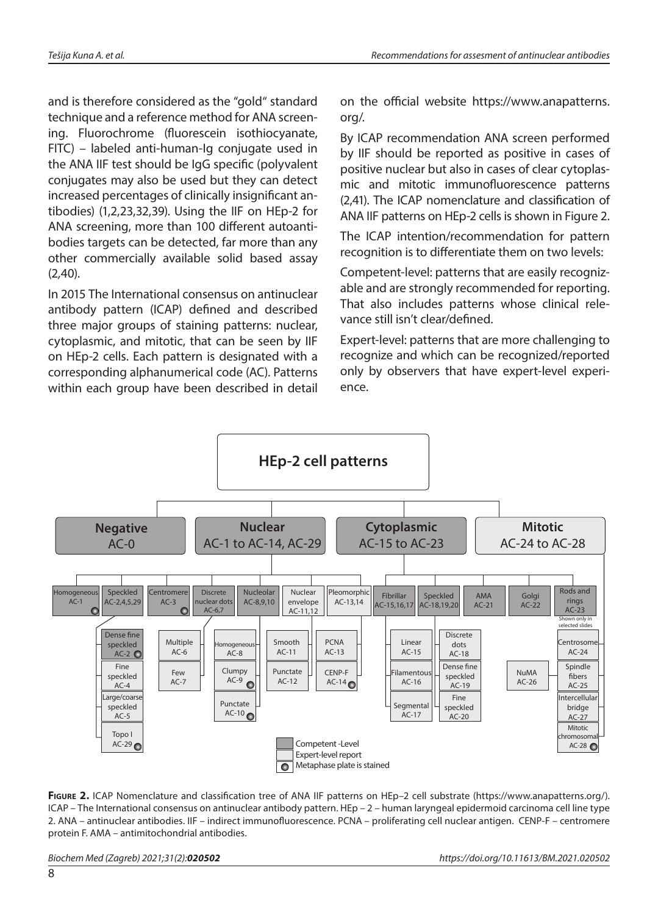and is therefore considered as the "gold" standard technique and a reference method for ANA screening. Fluorochrome (fluorescein isothiocyanate, FITC) – labeled anti-human-Ig conjugate used in the ANA IIF test should be IgG specific (polyvalent conjugates may also be used but they can detect increased percentages of clinically insignificant antibodies) (1,2,23,32,39). Using the IIF on HEp-2 for ANA screening, more than 100 different autoantibodies targets can be detected, far more than any other commercially available solid based assay (2*,*40).

In 2015 The International consensus on antinuclear antibody pattern (ICAP) defined and described three major groups of staining patterns: nuclear, cytoplasmic, and mitotic, that can be seen by IIF on HEp-2 cells. Each pattern is designated with a corresponding alphanumerical code (AC). Patterns within each group have been described in detail on the official website [https://www.anapatterns.](https://www.anapatterns.org/) [org/.](https://www.anapatterns.org/)

By ICAP recommendation ANA screen performed by IIF should be reported as positive in cases of positive nuclear but also in cases of clear cytoplasmic and mitotic immunofluorescence patterns (2,41). The ICAP nomenclature and classification of ANA IIF patterns on HEp-2 cells is shown in Figure 2.

The ICAP intention/recommendation for pattern recognition is to differentiate them on two levels:

Competent-level: patterns that are easily recognizable and are strongly recommended for reporting. That also includes patterns whose clinical relevance still isn't clear/defined.

Expert-level: patterns that are more challenging to recognize and which can be recognized/reported only by observers that have expert-level experience.



FIGURE 2. ICAP Nomenclature and classification tree of ANA IIF patterns on HEp-2 cell substrate [\(https://www.anapatterns.org/](https://www.anapatterns.org/)). ICAP – The International consensus on antinuclear antibody pattern. HEp – 2 – human laryngeal epidermoid carcinoma cell line type 2. ANA – antinuclear antibodies. IIF – indirect immunofluorescence. PCNA – proliferating cell nuclear antigen. CENP-F – centromere protein F. AMA – antimitochondrial antibodies.

*Biochem Med (Zagreb) 2021;31(2):020502 https://doi.org/10.11613/BM.2021.020502*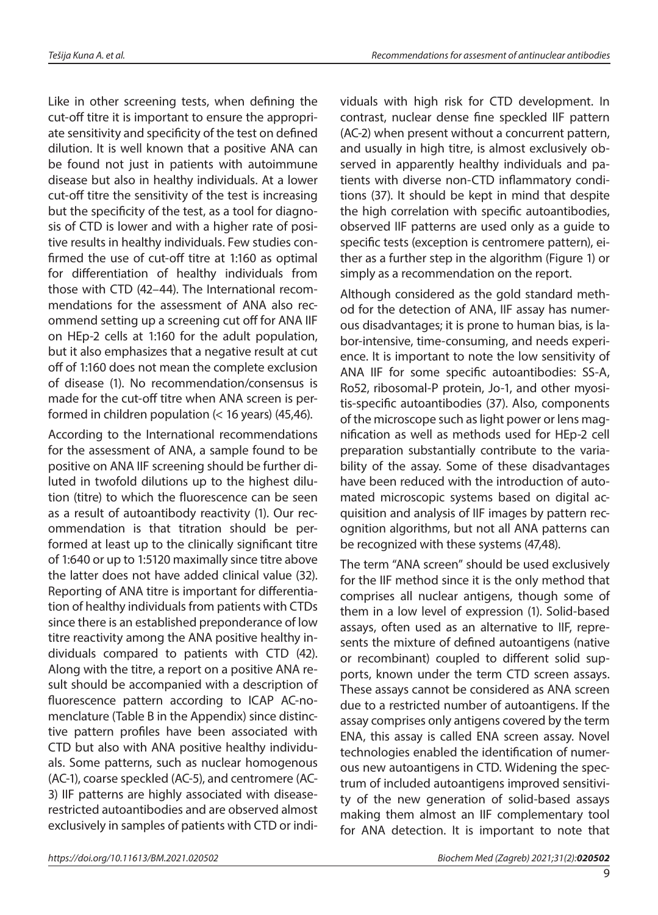Like in other screening tests, when defining the cut-off titre it is important to ensure the appropriate sensitivity and specificity of the test on defined dilution. It is well known that a positive ANA can be found not just in patients with autoimmune disease but also in healthy individuals. At a lower cut-off titre the sensitivity of the test is increasing but the specificity of the test, as a tool for diagnosis of CTD is lower and with a higher rate of positive results in healthy individuals. Few studies confirmed the use of cut-off titre at 1:160 as optimal for differentiation of healthy individuals from those with CTD (42–44). The International recommendations for the assessment of ANA also recommend setting up a screening cut off for ANA IIF on HEp-2 cells at 1:160 for the adult population, but it also emphasizes that a negative result at cut off of 1:160 does not mean the complete exclusion of disease (1). No recommendation/consensus is made for the cut-off titre when ANA screen is performed in children population (< 16 years) (45,46).

According to the International recommendations for the assessment of ANA, a sample found to be positive on ANA IIF screening should be further diluted in twofold dilutions up to the highest dilution (titre) to which the fluorescence can be seen as a result of autoantibody reactivity (1). Our recommendation is that titration should be performed at least up to the clinically significant titre of 1:640 or up to 1:5120 maximally since titre above the latter does not have added clinical value (32). Reporting of ANA titre is important for differentiation of healthy individuals from patients with CTDs since there is an established preponderance of low titre reactivity among the ANA positive healthy individuals compared to patients with CTD (42). Along with the titre, a report on a positive ANA result should be accompanied with a description of fluorescence pattern according to ICAP AC-nomenclature (Table B in the Appendix) since distinctive pattern profiles have been associated with CTD but also with ANA positive healthy individuals. Some patterns, such as nuclear homogenous (AC-1), coarse speckled (AC-5), and centromere (AC-3) IIF patterns are highly associated with diseaserestricted autoantibodies and are observed almost exclusively in samples of patients with CTD or individuals with high risk for CTD development. In contrast, nuclear dense fine speckled IIF pattern (AC-2) when present without a concurrent pattern, and usually in high titre, is almost exclusively observed in apparently healthy individuals and patients with diverse non-CTD inflammatory conditions (37). It should be kept in mind that despite the high correlation with specific autoantibodies, observed IIF patterns are used only as a guide to specific tests (exception is centromere pattern), either as a further step in the algorithm (Figure 1) or simply as a recommendation on the report.

Although considered as the gold standard method for the detection of ANA, IIF assay has numerous disadvantages; it is prone to human bias, is labor-intensive, time-consuming, and needs experience. It is important to note the low sensitivity of ANA IIF for some specific autoantibodies: SS-A, Ro52, ribosomal-P protein, Jo-1, and other myositis-specific autoantibodies (37). Also, components of the microscope such as light power or lens magnification as well as methods used for HEp-2 cell preparation substantially contribute to the variability of the assay. Some of these disadvantages have been reduced with the introduction of automated microscopic systems based on digital acquisition and analysis of IIF images by pattern recognition algorithms, but not all ANA patterns can be recognized with these systems (47,48).

The term "ANA screen" should be used exclusively for the IIF method since it is the only method that comprises all nuclear antigens, though some of them in a low level of expression (1). Solid-based assays, often used as an alternative to IIF, represents the mixture of defined autoantigens (native or recombinant) coupled to different solid supports, known under the term CTD screen assays. These assays cannot be considered as ANA screen due to a restricted number of autoantigens. If the assay comprises only antigens covered by the term ENA, this assay is called ENA screen assay. Novel technologies enabled the identification of numerous new autoantigens in CTD. Widening the spectrum of included autoantigens improved sensitivity of the new generation of solid-based assays making them almost an IIF complementary tool for ANA detection. It is important to note that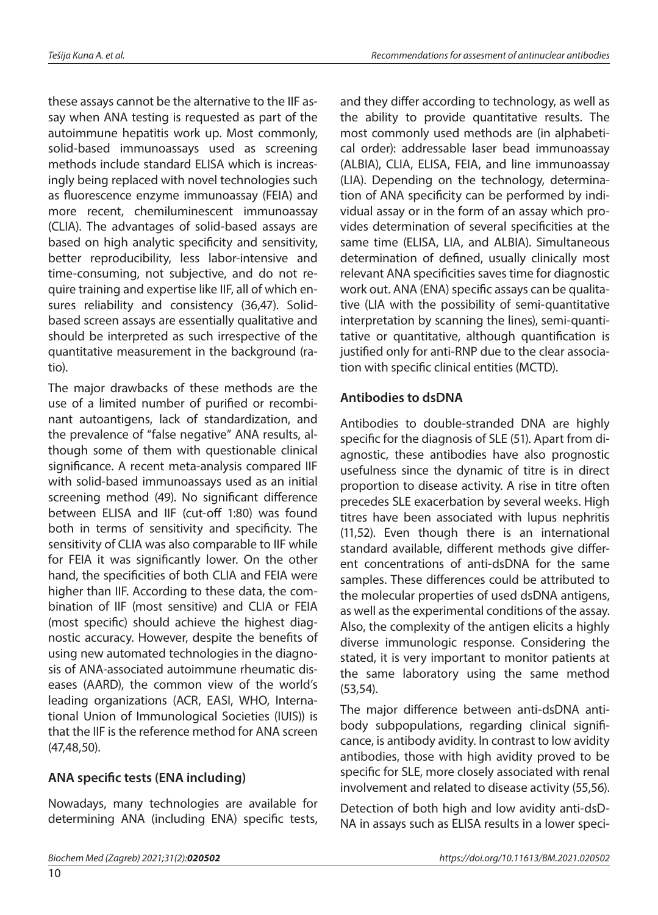these assays cannot be the alternative to the IIF assay when ANA testing is requested as part of the autoimmune hepatitis work up. Most commonly, solid-based immunoassays used as screening methods include standard ELISA which is increasingly being replaced with novel technologies such as fluorescence enzyme immunoassay (FEIA) and more recent, chemiluminescent immunoassay (CLIA). The advantages of solid-based assays are based on high analytic specificity and sensitivity, better reproducibility, less labor-intensive and time-consuming, not subjective, and do not require training and expertise like IIF, all of which ensures reliability and consistency (36,47). Solidbased screen assays are essentially qualitative and should be interpreted as such irrespective of the quantitative measurement in the background (ratio).

The major drawbacks of these methods are the use of a limited number of purified or recombinant autoantigens, lack of standardization, and the prevalence of "false negative" ANA results, although some of them with questionable clinical significance. A recent meta-analysis compared IIF with solid-based immunoassays used as an initial screening method (49). No significant difference between ELISA and IIF (cut-off 1:80) was found both in terms of sensitivity and specificity. The sensitivity of CLIA was also comparable to IIF while for FEIA it was significantly lower. On the other hand, the specificities of both CLIA and FEIA were higher than IIF. According to these data, the combination of IIF (most sensitive) and CLIA or FEIA (most specific) should achieve the highest diagnostic accuracy. However, despite the benefits of using new automated technologies in the diagnosis of ANA-associated autoimmune rheumatic diseases (AARD), the common view of the world's leading organizations (ACR, EASI, WHO, International Union of Immunological Societies (IUIS)) is that the IIF is the reference method for ANA screen (47,48,50).

# **ANA specific tests (ENA including)**

Nowadays, many technologies are available for determining ANA (including ENA) specific tests, and they differ according to technology, as well as the ability to provide quantitative results. The most commonly used methods are (in alphabetical order): addressable laser bead immunoassay (ALBIA), CLIA, ELISA, FEIA, and line immunoassay (LIA). Depending on the technology, determination of ANA specificity can be performed by individual assay or in the form of an assay which provides determination of several specificities at the same time (ELISA, LIA, and ALBIA). Simultaneous determination of defined, usually clinically most relevant ANA specificities saves time for diagnostic work out. ANA (ENA) specific assays can be qualitative (LIA with the possibility of semi-quantitative interpretation by scanning the lines), semi-quantitative or quantitative, although quantification is justified only for anti-RNP due to the clear association with specific clinical entities (MCTD).

# **Antibodies to dsDNA**

Antibodies to double-stranded DNA are highly specific for the diagnosis of SLE (51). Apart from diagnostic, these antibodies have also prognostic usefulness since the dynamic of titre is in direct proportion to disease activity. A rise in titre often precedes SLE exacerbation by several weeks. High titres have been associated with lupus nephritis (11,52). Even though there is an international standard available, different methods give different concentrations of anti-dsDNA for the same samples. These differences could be attributed to the molecular properties of used dsDNA antigens, as well as the experimental conditions of the assay. Also, the complexity of the antigen elicits a highly diverse immunologic response. Considering the stated, it is very important to monitor patients at the same laboratory using the same method (53,54).

The major difference between anti-dsDNA antibody subpopulations, regarding clinical significance, is antibody avidity. In contrast to low avidity antibodies, those with high avidity proved to be specific for SLE, more closely associated with renal involvement and related to disease activity (55,56).

Detection of both high and low avidity anti-dsD-NA in assays such as ELISA results in a lower speci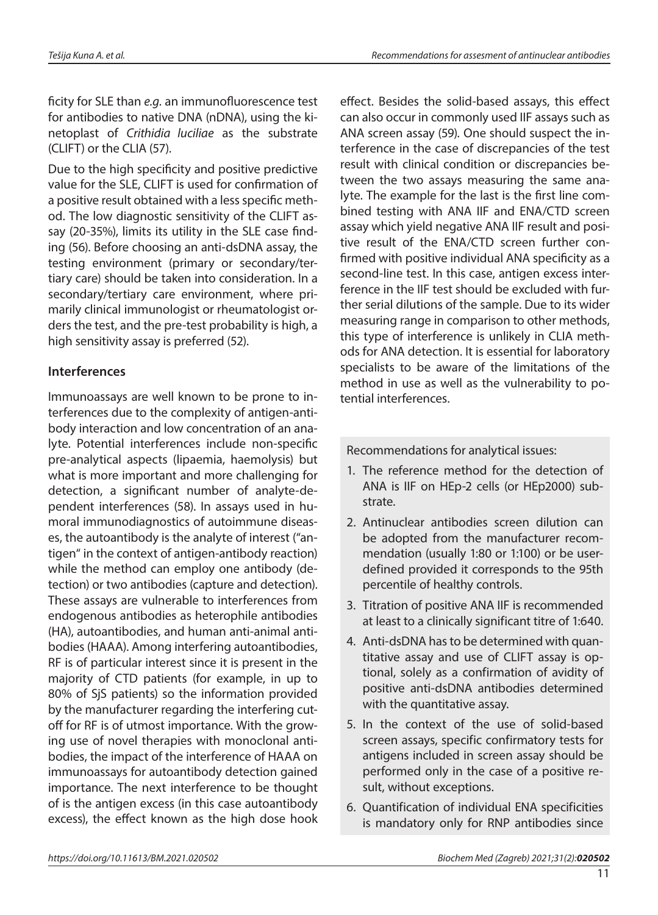ficity for SLE than *e.g.* an immunofluorescence test for antibodies to native DNA (nDNA), using the kinetoplast of *Crithidia luciliae* as the substrate (CLIFT) or the CLIA (57).

Due to the high specificity and positive predictive value for the SLE, CLIFT is used for confirmation of a positive result obtained with a less specific method. The low diagnostic sensitivity of the CLIFT assay (20-35%), limits its utility in the SLE case finding (56). Before choosing an anti-dsDNA assay, the testing environment (primary or secondary/tertiary care) should be taken into consideration. In a secondary/tertiary care environment, where primarily clinical immunologist or rheumatologist orders the test, and the pre-test probability is high, a high sensitivity assay is preferred (52).

### **Interferences**

Immunoassays are well known to be prone to interferences due to the complexity of antigen-antibody interaction and low concentration of an analyte. Potential interferences include non-specific pre-analytical aspects (lipaemia, haemolysis) but what is more important and more challenging for detection, a significant number of analyte-dependent interferences (58). In assays used in humoral immunodiagnostics of autoimmune diseases, the autoantibody is the analyte of interest ("antigen" in the context of antigen-antibody reaction) while the method can employ one antibody (detection) or two antibodies (capture and detection). These assays are vulnerable to interferences from endogenous antibodies as heterophile antibodies (HA), autoantibodies, and human anti-animal antibodies (HAAA). Among interfering autoantibodies, RF is of particular interest since it is present in the majority of CTD patients (for example, in up to 80% of SjS patients) so the information provided by the manufacturer regarding the interfering cutoff for RF is of utmost importance. With the growing use of novel therapies with monoclonal antibodies, the impact of the interference of HAAA on immunoassays for autoantibody detection gained importance. The next interference to be thought of is the antigen excess (in this case autoantibody excess), the effect known as the high dose hook effect. Besides the solid-based assays, this effect can also occur in commonly used IIF assays such as ANA screen assay (59)*.* One should suspect the interference in the case of discrepancies of the test result with clinical condition or discrepancies between the two assays measuring the same analyte. The example for the last is the first line combined testing with ANA IIF and ENA/CTD screen assay which yield negative ANA IIF result and positive result of the ENA/CTD screen further confirmed with positive individual ANA specificity as a second-line test. In this case, antigen excess interference in the IIF test should be excluded with further serial dilutions of the sample. Due to its wider measuring range in comparison to other methods, this type of interference is unlikely in CLIA methods for ANA detection. It is essential for laboratory specialists to be aware of the limitations of the method in use as well as the vulnerability to potential interferences.

Recommendations for analytical issues:

- 1. The reference method for the detection of ANA is IIF on HEp-2 cells (or HEp2000) substrate.
- 2. Antinuclear antibodies screen dilution can be adopted from the manufacturer recommendation (usually 1:80 or 1:100) or be userdefined provided it corresponds to the 95th percentile of healthy controls.
- 3. Titration of positive ANA IIF is recommended at least to a clinically significant titre of 1:640.
- 4. Anti-dsDNA has to be determined with quantitative assay and use of CLIFT assay is optional, solely as a confirmation of avidity of positive anti-dsDNA antibodies determined with the quantitative assay.
- 5. In the context of the use of solid-based screen assays, specific confirmatory tests for antigens included in screen assay should be performed only in the case of a positive result, without exceptions.
- 6. Quantification of individual ENA specificities is mandatory only for RNP antibodies since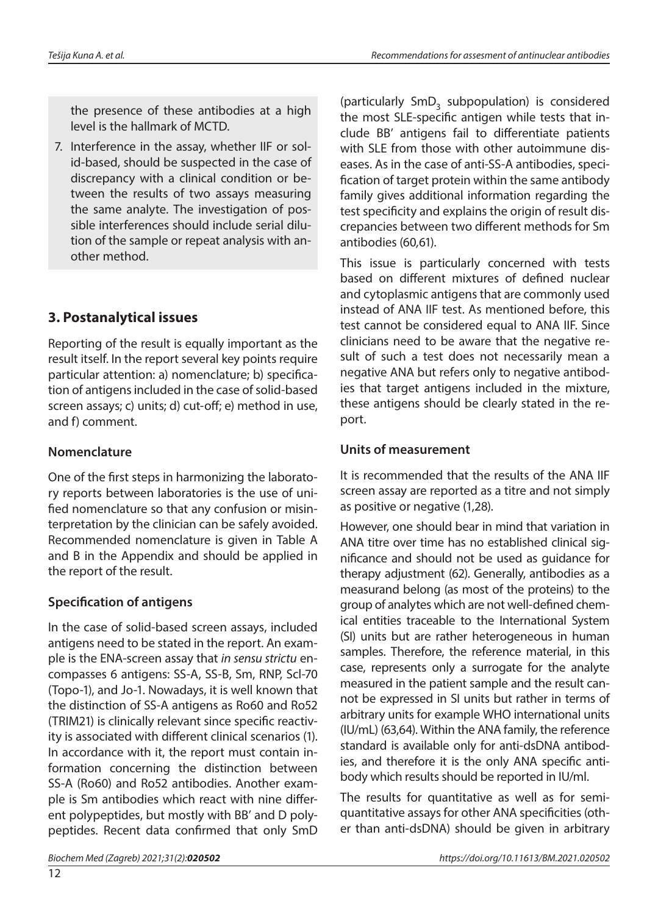the presence of these antibodies at a high level is the hallmark of MCTD.

7. Interference in the assay, whether IIF or solid-based, should be suspected in the case of discrepancy with a clinical condition or between the results of two assays measuring the same analyte. The investigation of possible interferences should include serial dilution of the sample or repeat analysis with another method.

# **3. Postanalytical issues**

Reporting of the result is equally important as the result itself. In the report several key points require particular attention: a) nomenclature; b) specification of antigens included in the case of solid-based screen assays; c) units; d) cut-off; e) method in use, and f) comment.

# **Nomenclature**

One of the first steps in harmonizing the laboratory reports between laboratories is the use of unified nomenclature so that any confusion or misinterpretation by the clinician can be safely avoided. Recommended nomenclature is given in Table A and B in the Appendix and should be applied in the report of the result.

# **Specification of antigens**

In the case of solid-based screen assays, included antigens need to be stated in the report. An example is the ENA-screen assay that *in sensu strictu* encompasses 6 antigens: SS-A, SS-B, Sm, RNP, Scl-70 (Topo-1), and Jo-1. Nowadays, it is well known that the distinction of SS-A antigens as Ro60 and Ro52 (TRIM21) is clinically relevant since specific reactivity is associated with different clinical scenarios (1). In accordance with it, the report must contain information concerning the distinction between SS-A (Ro60) and Ro52 antibodies. Another example is Sm antibodies which react with nine different polypeptides, but mostly with BB' and D polypeptides. Recent data confirmed that only SmD

*Biochem Med (Zagreb) 2021;31(2):020502 https://doi.org/10.11613/BM.2021.020502*

(particularly  $SmD<sub>3</sub>$  subpopulation) is considered the most SLE-specific antigen while tests that include BB' antigens fail to differentiate patients with SLE from those with other autoimmune diseases. As in the case of anti-SS-A antibodies, specification of target protein within the same antibody family gives additional information regarding the test specificity and explains the origin of result discrepancies between two different methods for Sm antibodies (60*,*61).

This issue is particularly concerned with tests based on different mixtures of defined nuclear and cytoplasmic antigens that are commonly used instead of ANA IIF test. As mentioned before, this test cannot be considered equal to ANA IIF. Since clinicians need to be aware that the negative result of such a test does not necessarily mean a negative ANA but refers only to negative antibodies that target antigens included in the mixture, these antigens should be clearly stated in the report.

# **Units of measurement**

It is recommended that the results of the ANA IIF screen assay are reported as a titre and not simply as positive or negative (1,28).

However, one should bear in mind that variation in ANA titre over time has no established clinical significance and should not be used as guidance for therapy adjustment (62). Generally, antibodies as a measurand belong (as most of the proteins) to the group of analytes which are not well-defined chemical entities traceable to the International System (SI) units but are rather heterogeneous in human samples. Therefore, the reference material, in this case, represents only a surrogate for the analyte measured in the patient sample and the result cannot be expressed in SI units but rather in terms of arbitrary units for example WHO international units (IU/mL) (63,64). Within the ANA family, the reference standard is available only for anti-dsDNA antibodies, and therefore it is the only ANA specific antibody which results should be reported in IU/ml.

The results for quantitative as well as for semiquantitative assays for other ANA specificities (other than anti-dsDNA) should be given in arbitrary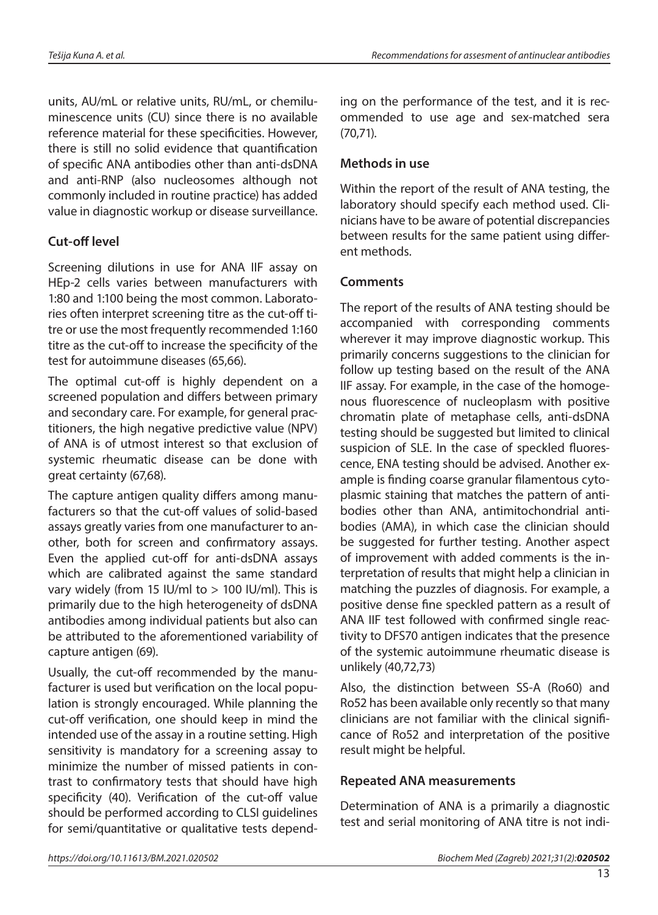units, AU/mL or relative units, RU/mL, or chemiluminescence units (CU) since there is no available reference material for these specificities. However, there is still no solid evidence that quantification of specific ANA antibodies other than anti-dsDNA and anti-RNP (also nucleosomes although not commonly included in routine practice) has added value in diagnostic workup or disease surveillance.

# **Cut-off level**

Screening dilutions in use for ANA IIF assay on HEp-2 cells varies between manufacturers with 1:80 and 1:100 being the most common. Laboratories often interpret screening titre as the cut-off titre or use the most frequently recommended 1:160 titre as the cut-off to increase the specificity of the test for autoimmune diseases (65,66).

The optimal cut-off is highly dependent on a screened population and differs between primary and secondary care. For example, for general practitioners, the high negative predictive value (NPV) of ANA is of utmost interest so that exclusion of systemic rheumatic disease can be done with great certainty (67,68).

The capture antigen quality differs among manufacturers so that the cut-off values of solid-based assays greatly varies from one manufacturer to another, both for screen and confirmatory assays. Even the applied cut-off for anti-dsDNA assays which are calibrated against the same standard vary widely (from 15 IU/ml to  $>$  100 IU/ml). This is primarily due to the high heterogeneity of dsDNA antibodies among individual patients but also can be attributed to the aforementioned variability of capture antigen (69).

Usually, the cut-off recommended by the manufacturer is used but verification on the local population is strongly encouraged. While planning the cut-off verification, one should keep in mind the intended use of the assay in a routine setting. High sensitivity is mandatory for a screening assay to minimize the number of missed patients in contrast to confirmatory tests that should have high specificity (40). Verification of the cut-off value should be performed according to CLSI guidelines for semi/quantitative or qualitative tests depending on the performance of the test, and it is recommended to use age and sex-matched sera (70,71).

# **Methods in use**

Within the report of the result of ANA testing, the laboratory should specify each method used. Clinicians have to be aware of potential discrepancies between results for the same patient using different methods.

### **Comments**

The report of the results of ANA testing should be accompanied with corresponding comments wherever it may improve diagnostic workup. This primarily concerns suggestions to the clinician for follow up testing based on the result of the ANA IIF assay. For example, in the case of the homogenous fluorescence of nucleoplasm with positive chromatin plate of metaphase cells, anti-dsDNA testing should be suggested but limited to clinical suspicion of SLE. In the case of speckled fluorescence, ENA testing should be advised. Another example is finding coarse granular filamentous cytoplasmic staining that matches the pattern of antibodies other than ANA, antimitochondrial antibodies (AMA), in which case the clinician should be suggested for further testing. Another aspect of improvement with added comments is the interpretation of results that might help a clinician in matching the puzzles of diagnosis. For example, a positive dense fine speckled pattern as a result of ANA IIF test followed with confirmed single reactivity to DFS70 antigen indicates that the presence of the systemic autoimmune rheumatic disease is unlikely (40,72,73)

Also, the distinction between SS-A (Ro60) and Ro52 has been available only recently so that many clinicians are not familiar with the clinical significance of Ro52 and interpretation of the positive result might be helpful.

### **Repeated ANA measurements**

Determination of ANA is a primarily a diagnostic test and serial monitoring of ANA titre is not indi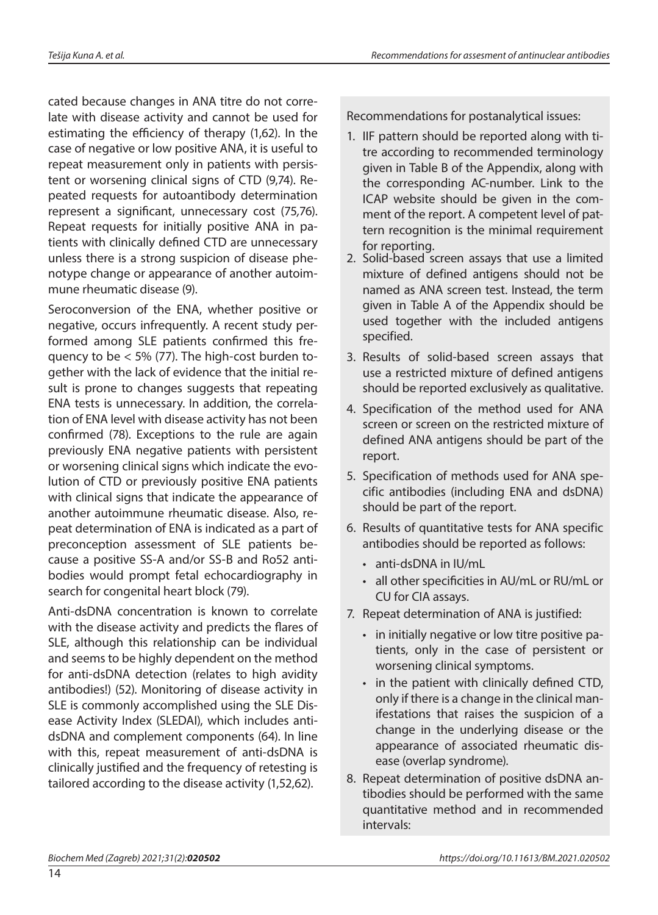cated because changes in ANA titre do not correlate with disease activity and cannot be used for estimating the efficiency of therapy (1,62). In the case of negative or low positive ANA, it is useful to repeat measurement only in patients with persistent or worsening clinical signs of CTD (9,74). Repeated requests for autoantibody determination represent a significant, unnecessary cost (75*,*76). Repeat requests for initially positive ANA in patients with clinically defined CTD are unnecessary unless there is a strong suspicion of disease phenotype change or appearance of another autoimmune rheumatic disease (9).

Seroconversion of the ENA, whether positive or negative, occurs infrequently. A recent study performed among SLE patients confirmed this frequency to be < 5% (77). The high-cost burden together with the lack of evidence that the initial result is prone to changes suggests that repeating ENA tests is unnecessary. In addition, the correlation of ENA level with disease activity has not been confirmed (78). Exceptions to the rule are again previously ENA negative patients with persistent or worsening clinical signs which indicate the evolution of CTD or previously positive ENA patients with clinical signs that indicate the appearance of another autoimmune rheumatic disease. Also, repeat determination of ENA is indicated as a part of preconception assessment of SLE patients because a positive SS-A and/or SS-B and Ro52 antibodies would prompt fetal echocardiography in search for congenital heart block (79).

Anti-dsDNA concentration is known to correlate with the disease activity and predicts the flares of SLE, although this relationship can be individual and seems to be highly dependent on the method for anti-dsDNA detection (relates to high avidity antibodies!) (52). Monitoring of disease activity in SLE is commonly accomplished using the SLE Disease Activity Index (SLEDAI), which includes antidsDNA and complement components (64). In line with this, repeat measurement of anti-dsDNA is clinically justified and the frequency of retesting is tailored according to the disease activity (1,52,62).

Recommendations for postanalytical issues:

- 1. IIF pattern should be reported along with titre according to recommended terminology given in Table B of the Appendix, along with the corresponding AC-number. Link to the ICAP website should be given in the comment of the report. A competent level of pattern recognition is the minimal requirement for reporting.
- 2. Solid-based screen assays that use a limited mixture of defined antigens should not be named as ANA screen test. Instead, the term given in Table A of the Appendix should be used together with the included antigens specified.
- 3. Results of solid-based screen assays that use a restricted mixture of defined antigens should be reported exclusively as qualitative.
- 4. Specification of the method used for ANA screen or screen on the restricted mixture of defined ANA antigens should be part of the report.
- 5. Specification of methods used for ANA specific antibodies (including ENA and dsDNA) should be part of the report.
- 6. Results of quantitative tests for ANA specific antibodies should be reported as follows:
	- • anti-dsDNA in IU/mL
	- • all other specificities in AU/mL or RU/mL or CU for CIA assays.
- 7. Repeat determination of ANA is justified:
	- in initially negative or low titre positive patients, only in the case of persistent or worsening clinical symptoms.
	- in the patient with clinically defined CTD, only if there is a change in the clinical manifestations that raises the suspicion of a change in the underlying disease or the appearance of associated rheumatic disease (overlap syndrome).
- 8. Repeat determination of positive dsDNA antibodies should be performed with the same quantitative method and in recommended intervals: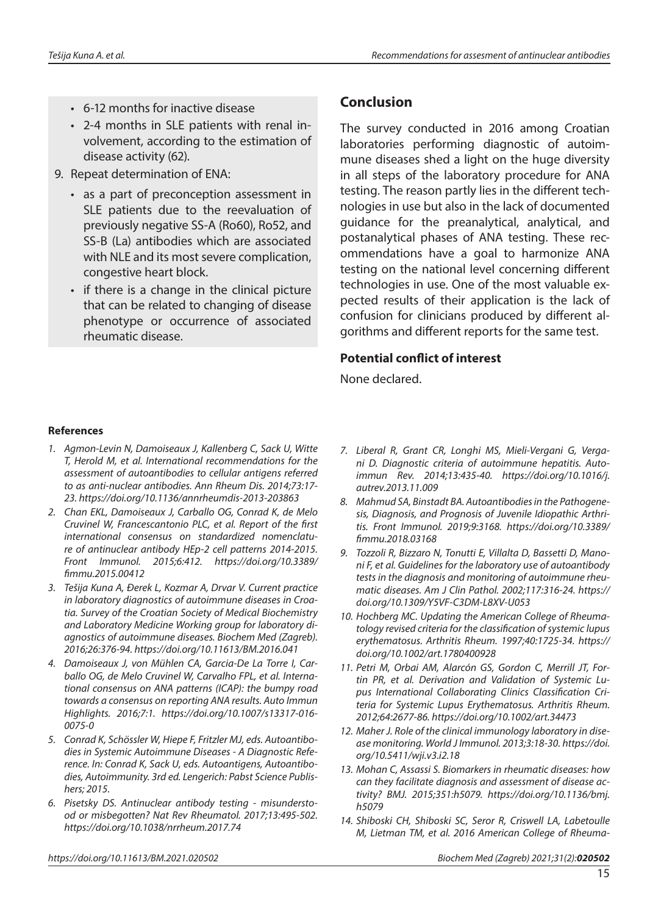- • 6-12 months for inactive disease
- • 2-4 months in SLE patients with renal involvement, according to the estimation of disease activity (62).
- 9. Repeat determination of ENA:
	- as a part of preconception assessment in SLE patients due to the reevaluation of previously negative SS-A (Ro60), Ro52, and SS-B (La) antibodies which are associated with NLE and its most severe complication, congestive heart block.
	- if there is a change in the clinical picture that can be related to changing of disease phenotype or occurrence of associated rheumatic disease.

# **Conclusion**

The survey conducted in 2016 among Croatian laboratories performing diagnostic of autoimmune diseases shed a light on the huge diversity in all steps of the laboratory procedure for ANA testing. The reason partly lies in the different technologies in use but also in the lack of documented guidance for the preanalytical, analytical, and postanalytical phases of ANA testing. These recommendations have a goal to harmonize ANA testing on the national level concerning different technologies in use. One of the most valuable expected results of their application is the lack of confusion for clinicians produced by different algorithms and different reports for the same test.

### **Potential conflict of interest**

None declared.

#### **References**

- *1. Agmon-Levin N, Damoiseaux J, Kallenberg C, Sack U, Witte T, Herold M, et al. International recommendations for the assessment of autoantibodies to cellular antigens referred to as anti-nuclear antibodies. Ann Rheum Dis. 2014;73:17- 23. <https://doi.org/10.1136/annrheumdis-2013-203863>*
- *2. Chan EKL, Damoiseaux J, Carballo OG, Conrad K, de Melo Cruvinel W, Francescantonio PLC, et al. Report of the first international consensus on standardized nomenclature of antinuclear antibody HEp-2 cell patterns 2014-2015. Front Immunol. 2015;6:412. [https://doi.org/10.3389/](https://doi.org/10.3389/fimmu.2015.00412) [fimmu.2015.00412](https://doi.org/10.3389/fimmu.2015.00412)*
- *3. Tešija Kuna A, Đerek L, Kozmar A, Drvar V. Current practice in laboratory diagnostics of autoimmune diseases in Croatia. Survey of the Croatian Society of Medical Biochemistry and Laboratory Medicine Working group for laboratory diagnostics of autoimmune diseases. Biochem Med (Zagreb). 2016;26:376-94. [https://doi.org/10.11613/](https://doi.org/10.11613/bm.2016.041)BM.2016.041*
- *4. Damoiseaux J, von Mühlen CA, Garcia-De La Torre I, Carballo OG, de Melo Cruvinel W, Carvalho FPL, et al. International consensus on ANA patterns (ICAP): the bumpy road towards a consensus on reporting ANA results. Auto Immun Highlights. 2016;7:1. [https://doi.org/10.1007/s13317-016-](https://doi.org/10.1007/s13317-016-0075-0) [0075-0](https://doi.org/10.1007/s13317-016-0075-0)*
- *5. Conrad K, Schössler W, Hiepe F, Fritzler MJ, eds. Autoantibodies in Systemic Autoimmune Diseases - A Diagnostic Reference. In: Conrad K, Sack U, eds. Autoantigens, Autoantibodies, Autoimmunity. 3rd ed. Lengerich: Pabst Science Publishers; 2015.*
- *6. Pisetsky DS. [Antinuclear antibody testing misundersto](https://www.ncbi.nlm.nih.gov/pubmed/28541299)[od or misbegotten?](https://www.ncbi.nlm.nih.gov/pubmed/28541299) Nat Rev Rheumatol. 2017;13:495-502. <https://doi.org/10.1038/nrrheum.2017.74>*
- *7. Liberal R, Grant CR, Longhi MS, Mieli-Vergani G, Vergani D. Diagnostic criteria of autoimmune hepatitis. Autoimmun Rev. 2014;13:435-40. [https://doi.org/10.1016/j.](https://doi.org/10.1016/j.autrev.2013.11.009) [autrev.2013.11.009](https://doi.org/10.1016/j.autrev.2013.11.009)*
- *8. Mahmud SA, Binstadt BA. Autoantibodies in the Pathogenesis, Diagnosis, and Prognosis of Juvenile Idiopathic Arthritis. Front Immunol. 2019;9:3168. [https://doi.org/10.3389/](https://doi.org/10.3389/fimmu.2018.03168) [fimmu.2018.03168](https://doi.org/10.3389/fimmu.2018.03168)*
- *9. Tozzoli R, Bizzaro N, Tonutti E, Villalta D, Bassetti D, Manoni F, et al. [Guidelines for the laboratory use of autoantibody](https://www.ncbi.nlm.nih.gov/pubmed/11863229)  [tests in the diagnosis and monitoring of autoimmune rheu](https://www.ncbi.nlm.nih.gov/pubmed/11863229)[matic diseases.](https://www.ncbi.nlm.nih.gov/pubmed/11863229) Am J Clin Pathol. 2002;117:316-24. [https://](https://doi.org/10.1309/y5vf-c3dm-l8xv-u053) [doi.org/1](https://doi.org/10.1309/y5vf-c3dm-l8xv-u053)0.1309/Y5VF-C3DM-L8XV-U053*
- *10. Hochberg MC. Updating the American College of Rheumatology revised criteria for the classification of systemic lupus erythematosus. Arthritis Rheum. 1997;40:1725-34. [https://](https://doi.org/10.1002/art.1780400928) [doi.org/10.1002/art.1780400928](https://doi.org/10.1002/art.1780400928)*
- *11. Petri M, Orbai AM, Alarcón GS, Gordon C, Merrill JT, Fortin PR, et al. Derivation and Validation of Systemic Lupus International Collaborating Clinics Classification Criteria for Systemic Lupus Erythematosus. Arthritis Rheum. 2012;64:2677-86.<https://doi.org/10.1002/art.34473>*
- *12. Maher J. Role of the clinical immunology laboratory in disease monitoring. World J Immunol. 2013;3:18-30. [https://doi.](https://doi.org/10.5411/wji.v3.i2.18) [org/10.5411/wji.v3.i2.18](https://doi.org/10.5411/wji.v3.i2.18)*
- *13. Mohan C, Assassi S. Biomarkers in rheumatic diseases: how can they facilitate diagnosis and assessment of disease activity? BMJ. 2015;351:h5079. [https://doi.org/10.1136/bmj.](https://doi.org/10.1136/bmj.h5079) [h5079](https://doi.org/10.1136/bmj.h5079)*
- *14. Shiboski CH, Shiboski SC, Seror R, Criswell LA, Labetoulle M, Lietman TM, et al. 2016 American College of Rheuma-*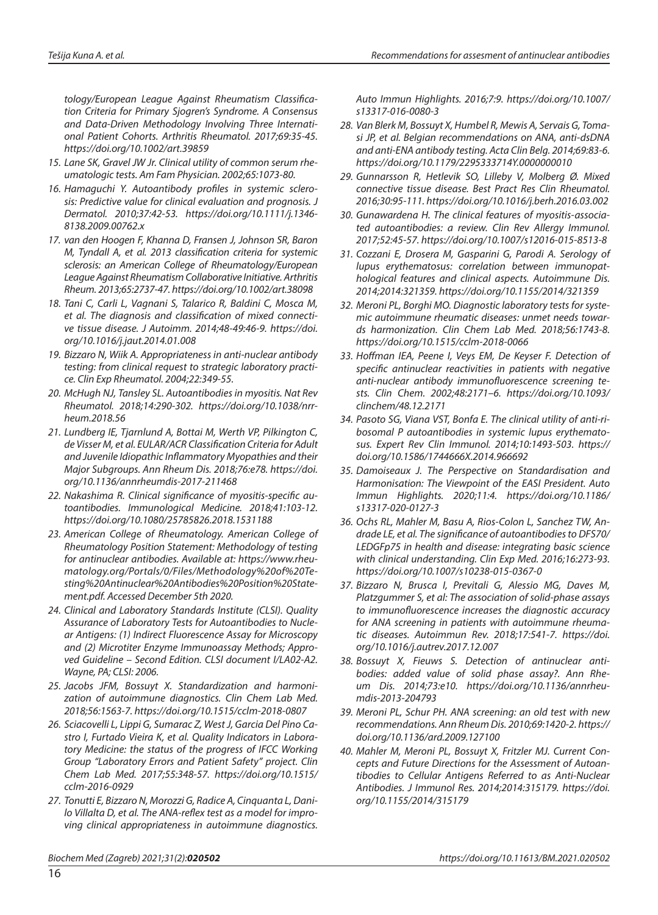*tology/European League Against Rheumatism Classification Criteria for Primary Sjogren's Syndrome. A Consensus and Data-Driven Methodology Involving Three International Patient Cohorts. Arthritis Rheumatol. 2017;69:35-45. <https://doi.org/10.1002/art.39859>* 

- *15. Lane SK, Gravel JW Jr. Clinical utility of common serum rheumatologic tests. Am Fam Physician. 2002;65:1073-80.*
- *16. Hamaguchi Y. Autoantibody profiles in systemic sclerosis: Predictive value for clinical evaluation and prognosis. J Dermatol. 2010;37:42-53. [https://doi.org/10.1111/j.1346-](https://doi.org/10.1111/j.1346-8138.2009.00762.x) [8138.2009.00762.x](https://doi.org/10.1111/j.1346-8138.2009.00762.x)*
- *17. van den Hoogen F, Khanna D, Fransen J, Johnson SR, Baron M, Tyndall A, et al. 2013 classification criteria for systemic sclerosis: an American College of Rheumatology/European League Against Rheumatism Collaborative Initiative. Arthritis Rheum. 2013;65:2737-47.<https://doi.org/10.1002/art.38098>*
- *18. Tani C, Carli L, Vagnani S, Talarico R, Baldini C, Mosca M, et al. The diagnosis and classification of mixed connective tissue disease. J Autoimm. 2014;48-49:46-9. [https://doi.](https://doi.org/10.1016/j.jaut.2014.01.008) [org/10.1016/j.jaut.2014.01.008](https://doi.org/10.1016/j.jaut.2014.01.008)*
- *19. Bizzaro N, Wiik A. [Appropriateness in anti-nuclear antibody](https://www.ncbi.nlm.nih.gov/pubmed/15144133)  [testing: from clinical request to strategic laboratory practi](https://www.ncbi.nlm.nih.gov/pubmed/15144133)[ce.](https://www.ncbi.nlm.nih.gov/pubmed/15144133) Clin Exp Rheumatol. 2004;22:349-55.*
- *20. McHugh NJ, Tansley SL. Autoantibodies in myositis. Nat Rev Rheumatol. 2018;14:290-302. [https://doi.org/10.1038/nrr](https://doi.org/10.1038/nrrheum.2018.56)[heum.2018.56](https://doi.org/10.1038/nrrheum.2018.56)*
- *21. Lundberg IE, Tjarnlund A, Bottai M, Werth VP, Pilkington C, de Visser M, et al. EULAR/ACR Classification Criteria for Adult and Juvenile Idiopathic Inflammatory Myopathies and their Major Subgroups. Ann Rheum Dis. 2018;76:e78. https://doi. org/10.1136/annrheumdis-2017-211468*
- *22. Nakashima R. Clinical significance of myositis-specific autoantibodies. Immunological Medicine. 2018;41:103-12. <https://doi.org/10.1080/25785826.2018.1531188>*
- *23. American College of Rheumatology. American College of Rheumatology Position Statement: Methodology of testing for antinuclear antibodies. Available at: https://www.rheumatology.org/Portals/0/Files/Methodology%20of%20Testing%20Antinuclear%20Antibodies%20Position%20Statement.pdf. Accessed December 5th 2020.*
- *24. Clinical and Laboratory Standards Institute (CLSI). Quality Assurance of Laboratory Tests for Autoantibodies to Nuclear Antigens: (1) Indirect Fluorescence Assay for Microscopy and (2) Microtiter Enzyme Immunoassay Methods; Approved Guideline – Second Edition. CLSI document I/LA02-A2. Wayne, PA; CLSI: 2006.*
- *25. Jacobs JFM, Bossuyt X. Standardization and harmonization of autoimmune diagnostics. Clin Chem Lab Med. 2018;56:1563-7. [https://doi.org/1](https://doi.org/10.1515/cclm-2018-0037)0.1515/cclm-2018-0807*
- *26. Sciacovelli L, Lippi G, Sumarac Z, West J, Garcia Del Pino Castro I, Furtado Vieira K, et al. Quality Indicators in Laboratory Medicine: the status of the progress of IFCC Working Group "Laboratory Errors and Patient Safety" project. Clin Chem Lab Med. 2017;55:348-57. [https://doi.org/10.1515/](https://doi.org/10.1515/cclm-2016-0929) [cclm-2016-0929](https://doi.org/10.1515/cclm-2016-0929)*
- *27. Tonutti E, Bizzaro N, Morozzi G, Radice A, Cinquanta L, Danilo Villalta D, et al. The ANA-reflex test as a model for improving clinical appropriateness in autoimmune diagnostics.*

*Auto Immun Highlights. 2016;7:9. [https://doi.org/10.1007/](https://doi.org/10.1007/s13317-016-0080-3) [s13317-016-0080-3](https://doi.org/10.1007/s13317-016-0080-3)* 

- *28. Van Blerk M, Bossuyt X, Humbel R, Mewis A, Servais G, Tomasi JP, et al. Belgian recommendations on ANA, anti-dsDNA and anti-ENA antibody testing. Acta Clin Belg. 2014;69:83-6. [https://doi.org/](https://doi.org/10.1179/2295333714y.0000000010)10.1179/2295333714Y.0000000010*
- *29. Gunnarsson R, Hetlevik SO, Lilleby V, Molberg Ø. Mixed connective tissue disease. Best Pract Res Clin Rheumatol. 2016;30:95-111. <https://doi.org/10.1016/j.berh.2016.03.002>*
- *30. Gunawardena H. The clinical features of myositis-associated autoantibodies: a review. Clin Rev Allergy Immunol. 2017;52:45-57.<https://doi.org/10.1007/s12016-015-8513-8>*
- *31. Cozzani E, Drosera M, Gasparini G, Parodi A. Serology of lupus erythematosus: correlation between immunopathological features and clinical aspects. Autoimmune Dis. 2014;2014:321359. <https://doi.org/10.1155/2014/321359>*
- *32. Meroni PL, Borghi MO. Diagnostic laboratory tests for systemic autoimmune rheumatic diseases: unmet needs towards harmonization. Clin Chem Lab Med. 2018;56:1743-8. <https://doi.org/10.1515/cclm-2018-0066>*
- *33. Hoffman IEA, Peene I, Veys EM, De Keyser F. Detection of specific antinuclear reactivities in patients with negative anti-nuclear antibody immunofluorescence screening tests. Clin Chem. 2002;48:2171–6. [https://doi.org/10.1093/](https://doi.org/10.1093/clinchem/48.12.2171) [clinchem/48.12.2171](https://doi.org/10.1093/clinchem/48.12.2171)*
- *34. Pasoto SG, Viana VST, Bonfa E. The clinical utility of anti-ribosomal P autoantibodies in systemic lupus erythematosus. Expert Rev Clin Immunol. 2014;10:1493-503. https:// doi.org/10.1586/1744666X.2014.966692*
- *35. Damoiseaux J. The Perspective on Standardisation and Harmonisation: The Viewpoint of the EASI President. Auto Immun Highlights. 2020;11:4. [https://doi.org/10.1186/](https://doi.org/10.1186/s13317-020-0127-3) [s13317-020-0127-3](https://doi.org/10.1186/s13317-020-0127-3)*
- *36. Ochs RL, Mahler M, Basu A, Rios-Colon L, Sanchez TW, Andrade LE, et al. The significance of autoantibodies to DFS70/ LEDGFp75 in health and disease: integrating basic science with clinical understanding. Clin Exp Med. 2016;16:273-93. <https://doi.org/10.1007/s10238-015-0367-0>*
- *37. Bizzaro N, Brusca I, Previtali G, Alessio MG, Daves M, Platzgummer S, et al: The association of solid-phase assays to immunofluorescence increases the diagnostic accuracy for ANA screening in patients with autoimmune rheumatic diseases. Autoimmun Rev. 2018;17:541-7. [https://doi.](https://doi.org/10.1016/j.autrev.2017.12.007) [org/10.1016/j.autrev.2017.12.007](https://doi.org/10.1016/j.autrev.2017.12.007)*
- *38. Bossuyt X, Fieuws S. Detection of antinuclear antibodies: added value of solid phase assay?. Ann Rheum Dis. 2014;73:e10. [https://doi.org/10.1136/annrheu](https://doi.org/10.1136/annrheumdis-2013-204793)[mdis-2013-204793](https://doi.org/10.1136/annrheumdis-2013-204793)*
- *39. Meroni PL, Schur PH. ANA screening: an old test with new recommendations. Ann Rheum Dis. 2010;69:1420-2. [https://](https://doi.org/10.1136/ard.2009.127100) [doi.org/10.1136/ard.2009.127100](https://doi.org/10.1136/ard.2009.127100)*
- *40. Mahler M, Meroni PL, Bossuyt X, Fritzler MJ. Current Concepts and Future Directions for the Assessment of Autoantibodies to Cellular Antigens Referred to as Anti-Nuclear Antibodies. J Immunol Res. 2014;2014:315179. [https://doi.](https://doi.org/10.1155/2014/315179) [org/10.1155/2014/315179](https://doi.org/10.1155/2014/315179)*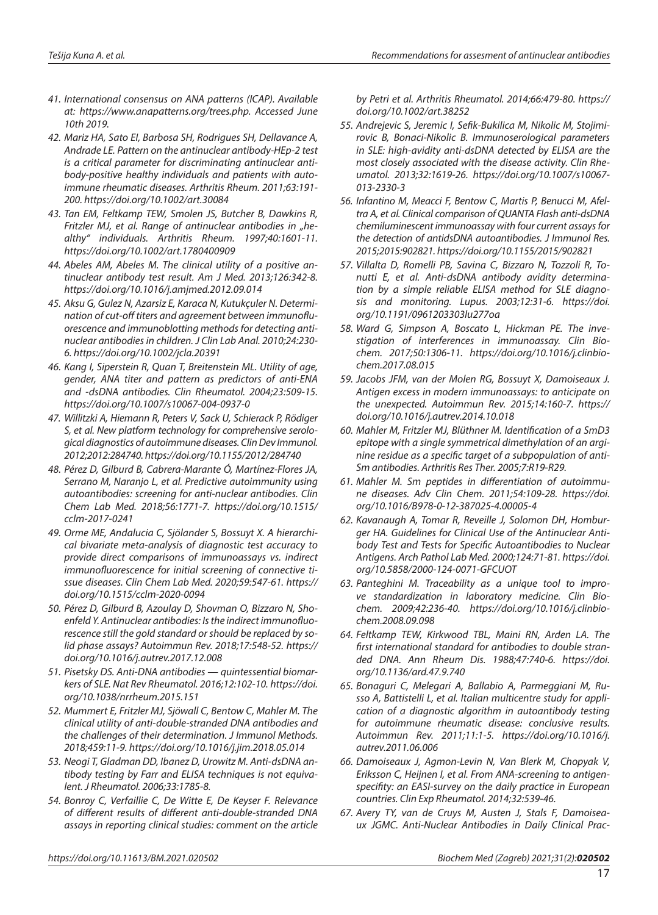- *41. International consensus on ANA patterns (ICAP). Available at: https://www.anapatterns.org/trees.php. Accessed June 10th 2019.*
- *42. Mariz HA, Sato EI, Barbosa SH, Rodrigues SH, Dellavance A, Andrade LE. Pattern on the antinuclear antibody-HEp-2 test is a critical parameter for discriminating antinuclear antibody-positive healthy individuals and patients with autoimmune rheumatic diseases. Arthritis Rheum. 2011;63:191- 200.<https://doi.org/10.1002/art.30084>*
- *43. Tan EM, Feltkamp TEW, Smolen JS, Butcher B, Dawkins R,*  Fritzler MJ, et al. Range of antinuclear antibodies in "he*althy" individuals. Arthritis Rheum. 1997;40:1601-11. <https://doi.org/10.1002/art.1780400909>*
- *44. Abeles AM, Abeles M. The clinical utility of a positive antinuclear antibody test result. Am J Med. 2013;126:342-8. <https://doi.org/10.1016/j.amjmed.2012.09.014>*
- *45. Aksu G, Gulez N, Azarsiz E, Karaca N, Kutukçuler N. Determination of cut-off titers and agreement between immunofluorescence and immunoblotting methods for detecting antinuclear antibodies in children. J Clin Lab Anal. 2010;24:230- 6.<https://doi.org/10.1002/jcla.20391>*
- *46. Kang I, Siperstein R, Quan T, Breitenstein ML. Utility of age, gender, ANA titer and pattern as predictors of anti-ENA and -dsDNA antibodies. Clin Rheumatol. 2004;23:509-15. <https://doi.org/10.1007/s10067-004-0937-0>*
- *47. Willitzki A, Hiemann R, Peters V, Sack U, Schierack P, Rödiger S, et al. New platform technology for comprehensive serological diagnostics of autoimmune diseases. Clin Dev Immunol. 2012;2012:284740.<https://doi.org/10.1155/2012/284740>*
- *48. Pérez D, Gilburd B, Cabrera-Marante Ó, Martínez-Flores JA, Serrano M, Naranjo L, et al. Predictive autoimmunity using autoantibodies: screening for anti-nuclear antibodies. Clin Chem Lab Med. 2018;56:1771-7. [https://doi.org/10.1515/](https://doi.org/10.1515/cclm-2017-0241) [cclm-2017-0241](https://doi.org/10.1515/cclm-2017-0241)*
- *49. Orme ME, Andalucia C, Sjölander S, Bossuyt X. A hierarchical bivariate meta-analysis of diagnostic test accuracy to provide direct comparisons of immunoassays vs. indirect immunofluorescence for initial screening of connective tissue diseases. Clin Chem Lab Med. 2020;59:547-61. [https://](https://doi.org/10.1515/cclm-2020-0094) [doi.org/10.1515/cclm-2020-0094](https://doi.org/10.1515/cclm-2020-0094)*
- *50. Pérez D, Gilburd B, Azoulay D, Shovman O, Bizzaro N, Shoenfeld Y. Antinuclear antibodies: Is the indirect immunofluorescence still the gold standard or should be replaced by solid phase assays? Autoimmun Rev. 2018;17:548-52. [https://](https://doi.org/10.1016/j.autrev.2017.12.008) [doi.org/10.1016/j.autrev.2017.12.008](https://doi.org/10.1016/j.autrev.2017.12.008)*
- *51. Pisetsky DS. Anti-DNA antibodies quintessential biomarkers of SLE. Nat Rev Rheumatol. 2016;12:102-10. [https://doi.](https://doi.org/10.1038/nrrheum.2015.151) [org/10.1038/nrrheum.2015.151](https://doi.org/10.1038/nrrheum.2015.151)*
- *52. Mummert E, Fritzler MJ, Sjöwall C, Bentow C, Mahler M. The clinical utility of anti-double-stranded DNA antibodies and the challenges of their determination. J Immunol Methods. 2018;459:11-9.<https://doi.org/10.1016/j.jim.2018.05.014>*
- *53. Neogi T, Gladman DD, Ibanez D, Urowitz M. Anti-dsDNA antibody testing by Farr and ELISA techniques is not equivalent. J Rheumatol. 2006;33:1785-8.*
- *54. Bonroy C, Verfaillie C, De Witte E, De Keyser F. Relevance of different results of different anti-double-stranded DNA assays in reporting clinical studies: comment on the article*

*by Petri et al. Arthritis Rheumatol. 2014;66:479-80. [https://](https://doi.org/10.1002/art.38252) [doi.org/10.1002/art.38252](https://doi.org/10.1002/art.38252)* 

- *55. Andrejevic S, Jeremic I, Sefik-Bukilica M, Nikolic M, Stojimirovic B, Bonaci-Nikolic B. Immunoserological parameters in SLE: high-avidity anti-dsDNA detected by ELISA are the most closely associated with the disease activity. Clin Rheumatol. 2013;32:1619-26. [https://doi.org/10.1007/s10067-](https://doi.org/10.1007/s10067-013-2330-3) [013-2330-3](https://doi.org/10.1007/s10067-013-2330-3)*
- *56. Infantino M, Meacci F, Bentow C, Martis P, Benucci M, Afeltra A, et al. Clinical comparison of QUANTA Flash anti-dsDNA chemiluminescent immunoassay with four current assays for the detection of antidsDNA autoantibodies. J Immunol Res. 2015;2015:902821.<https://doi.org/10.1155/2015/902821>*
- *57. Villalta D, Romelli PB, Savina C, Bizzaro N, Tozzoli R, Tonutti E, et al. Anti-dsDNA antibody avidity determination by a simple reliable ELISA method for SLE diagnosis and monitoring. Lupus. 2003;12:31-6. [https://doi.](https://doi.org/10.1191/0961203303lu277oa) [org/10.1191/0961203303lu277oa](https://doi.org/10.1191/0961203303lu277oa)*
- *58. Ward G, Simpson A, Boscato L, Hickman PE. The investigation of interferences in immunoassay. Clin Biochem. 2017;50:1306-11. [https://doi.org/10.1016/j.clinbio](https://doi.org/10.1016/j.clinbiochem.2017.08.015)[chem.2017.08.015](https://doi.org/10.1016/j.clinbiochem.2017.08.015)*
- *59. Jacobs JFM, van der Molen RG, Bossuyt X, Damoiseaux J. Antigen excess in modern immunoassays: to anticipate on the unexpected. Autoimmun Rev. 2015;14:160-7. [https://](https://doi.org/10.1016/j.autrev.2014.10.018) [doi.org/10.1016/j.autrev.2014.10.018](https://doi.org/10.1016/j.autrev.2014.10.018)*
- *60. Mahler M, Fritzler MJ, Blüthner M. Identification of a SmD3 epitope with a single symmetrical dimethylation of an arginine residue as a specific target of a subpopulation of anti-Sm antibodies. Arthritis Res Ther. 2005;7:R19-R29.*
- *61. Mahler M. Sm peptides in differentiation of autoimmune diseases. Adv Clin Chem. 2011;54:109-28. https://doi. org/10.1016/B978-0-12-387025-4.00005-4*
- *62. Kavanaugh A, Tomar R, Reveille J, Solomon DH, Homburger HA. Guidelines for Clinical Use of the Antinuclear Antibody Test and Tests for Specific Autoantibodies to Nuclear Antigens. Arch Pathol Lab Med. 2000;124:71-81. https://doi. org/10.5858/2000-124-0071-GFCUOT*
- *63. Panteghini M. Traceability as a unique tool to improve standardization in laboratory medicine. Clin Biochem. 2009;42:236-40. [https://doi.org/10.1016/j.clinbio](https://doi.org/10.1016/j.clinbiochem.2008.09.098)[chem.2008.09.098](https://doi.org/10.1016/j.clinbiochem.2008.09.098)*
- *64. Feltkamp TEW, Kirkwood TBL, Maini RN, Arden LA. The first international standard for antibodies to double stranded DNA. Ann Rheum Dis. 1988;47:740-6. [https://doi.](https://doi.org/10.1136/ard.47.9.740) [org/10.1136/ard.47.9.740](https://doi.org/10.1136/ard.47.9.740)*
- *65. Bonaguri C, Melegari A, Ballabio A, Parmeggiani M, Russo A, Battistelli L, et al. Italian multicentre study for application of a diagnostic algorithm in autoantibody testing for autoimmune rheumatic disease: conclusive results. Autoimmun Rev. 2011;11:1-5. [https://doi.org/10.1016/j.](https://doi.org/10.1016/j.autrev.2011.06.006) [autrev.2011.06.006](https://doi.org/10.1016/j.autrev.2011.06.006)*
- *66. Damoiseaux J, Agmon-Levin N, Van Blerk M, Chopyak V, Eriksson C, Heijnen I, et al. From ANA-screening to antigenspecifity: an EASI-survey on the daily practice in European countries. Clin Exp Rheumatol. 2014;32:539-46.*
- *67. Avery TY, van de Cruys M, Austen J, Stals F, Damoiseaux JGMC. Anti-Nuclear Antibodies in Daily Clinical Prac-*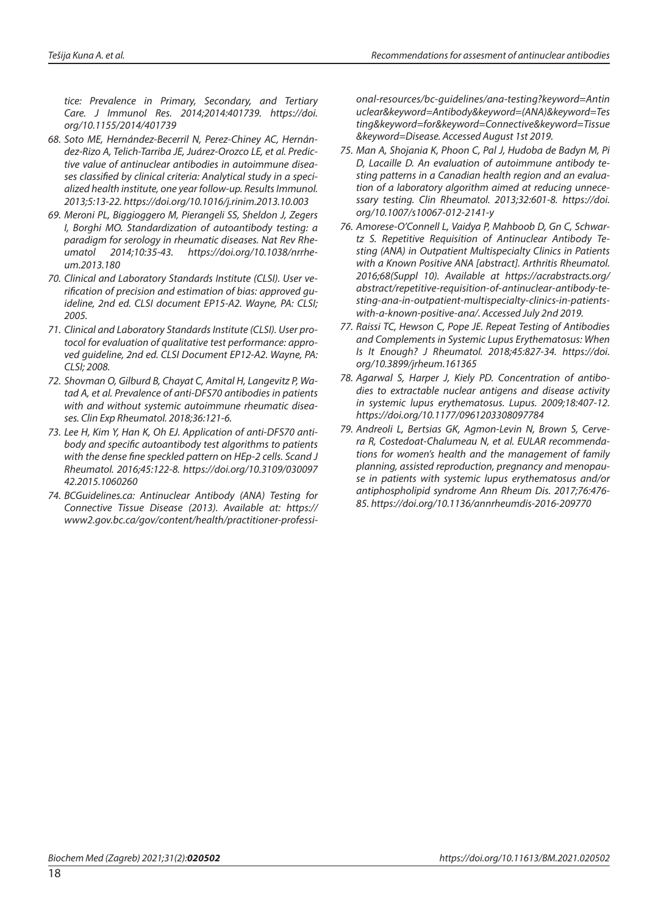*tice: Prevalence in Primary, Secondary, and Tertiary Care. J Immunol Res. 2014;2014:401739. [https://doi.](https://doi.org/10.1155/2014/401739) [org/10.1155/2014/401739](https://doi.org/10.1155/2014/401739)*

- *68. Soto ME, Hernández-Becerril N, Perez-Chiney AC, Hernández-Rizo A, Telich-Tarriba JE, Juárez-Orozco LE, et al. Predictive value of antinuclear antibodies in autoimmune diseases classified by clinical criteria: Analytical study in a specialized health institute, one year follow-up. Results Immunol. 2013;5:13-22.<https://doi.org/10.1016/j.rinim.2013.10.003>*
- *69. Meroni PL, Biggioggero M, Pierangeli SS, Sheldon J, Zegers I, Borghi MO. Standardization of autoantibody testing: a paradigm for serology in rheumatic diseases. Nat Rev Rheumatol 2014;10:35-43. [https://doi.org/10.1038/nrrhe](https://doi.org/10.1038/nrrheum.2013.180)[um.2013.180](https://doi.org/10.1038/nrrheum.2013.180)*
- *70. Clinical and Laboratory Standards Institute (CLSI). User verification of precision and estimation of bias: approved guideline, 2nd ed. CLSI document EP15-A2. Wayne, PA: CLSI; 2005.*
- *71. Clinical and Laboratory Standards Institute (CLSI). User protocol for evaluation of qualitative test performance: approved guideline, 2nd ed. CLSI Document EP12-A2. Wayne, PA: CLSI; 2008.*
- *72. Shovman O, Gilburd B, Chayat C, Amital H, Langevitz P, Watad A, et al. Prevalence of anti-DFS70 antibodies in patients with and without systemic autoimmune rheumatic diseases. Clin Exp Rheumatol. 2018;36:121-6.*
- *73. Lee H, Kim Y, Han K, Oh EJ. Application of anti-DFS70 antibody and specific autoantibody test algorithms to patients with the dense fine speckled pattern on HEp-2 cells. Scand J Rheumatol. 2016;45:122-8. [https://doi.org/10.3109/030097](https://doi.org/10.3109/03009742.2015.1060260) [42.2015.1060260](https://doi.org/10.3109/03009742.2015.1060260)*
- *74. BCGuidelines.ca: Antinuclear Antibody (ANA) Testing for Connective Tissue Disease (2013). Available at: [https://](https://www2.gov.bc.ca/gov/content/health/practitioner-professional-resources/bc-guidelines/ana-testing?keyword=Antinuclear&keyword=Antibody&keyword=(ANA)&keyword=Testing&keyword=for&keyword=Connective&keyword=Tissue&keyword=Disease. Accessed) [www2.gov.bc.ca/gov/content/health/practitioner-professi-](https://www2.gov.bc.ca/gov/content/health/practitioner-professional-resources/bc-guidelines/ana-testing?keyword=Antinuclear&keyword=Antibody&keyword=(ANA)&keyword=Testing&keyword=for&keyword=Connective&keyword=Tissue&keyword=Disease. Accessed)*

*[onal-resources/bc-guidelines/ana-testing?keyword=Antin](https://www2.gov.bc.ca/gov/content/health/practitioner-professional-resources/bc-guidelines/ana-testing?keyword=Antinuclear&keyword=Antibody&keyword=(ANA)&keyword=Testing&keyword=for&keyword=Connective&keyword=Tissue&keyword=Disease. Accessed) [uclear&keyword=Antibody&keyword=\(ANA\)&keyword=Tes](https://www2.gov.bc.ca/gov/content/health/practitioner-professional-resources/bc-guidelines/ana-testing?keyword=Antinuclear&keyword=Antibody&keyword=(ANA)&keyword=Testing&keyword=for&keyword=Connective&keyword=Tissue&keyword=Disease. Accessed) [ting&keyword=for&keyword=Connective&keyword=Tissue](https://www2.gov.bc.ca/gov/content/health/practitioner-professional-resources/bc-guidelines/ana-testing?keyword=Antinuclear&keyword=Antibody&keyword=(ANA)&keyword=Testing&keyword=for&keyword=Connective&keyword=Tissue&keyword=Disease. Accessed) [&keyword=Disease. Accessed](https://www2.gov.bc.ca/gov/content/health/practitioner-professional-resources/bc-guidelines/ana-testing?keyword=Antinuclear&keyword=Antibody&keyword=(ANA)&keyword=Testing&keyword=for&keyword=Connective&keyword=Tissue&keyword=Disease. Accessed) August 1st 2019.*

- *75. Man A, Shojania K, Phoon C, Pal J, Hudoba de Badyn M, Pi D, Lacaille D. An evaluation of autoimmune antibody testing patterns in a Canadian health region and an evaluation of a laboratory algorithm aimed at reducing unnecessary testing. Clin Rheumatol. 2013;32:601-8. [https://doi.](https://doi.org/10.1007/s10067-012-2141-y) [org/10.1007/s10067-012-2141-y](https://doi.org/10.1007/s10067-012-2141-y)*
- *76. Amorese-O'Connell L, Vaidya P, Mahboob D, Gn C, Schwartz S. Repetitive Requisition of Antinuclear Antibody Testing (ANA) in Outpatient Multispecialty Clinics in Patients with a Known Positive ANA [abstract]. Arthritis Rheumatol. 2016;68(Suppl 10). Available at https://acrabstracts.org/ abstract/repetitive-requisition-of-antinuclear-antibody-testing-ana-in-outpatient-multispecialty-clinics-in-patientswith-a-known-positive-ana/. Accessed July 2nd 2019.*
- *77. Raissi TC, Hewson C, Pope JE. Repeat Testing of Antibodies and Complements in Systemic Lupus Erythematosus: When Is It Enough? J Rheumatol. 2018;45:827-34. [https://doi.](https://doi.org/10.3899/jrheum.161365) [org/10.3899/jrheum.161365](https://doi.org/10.3899/jrheum.161365)*
- *78. Agarwal S, Harper J, Kiely PD. Concentration of antibodies to extractable nuclear antigens and disease activity in systemic lupus erythematosus. Lupus. 2009;18:407-12. <https://doi.org/10.1177/0961203308097784>*
- *79. Andreoli L, Bertsias GK, Agmon-Levin N, Brown S, Cervera R, Costedoat-Chalumeau N, et al. EULAR recommendations for women's health and the management of family planning, assisted reproduction, pregnancy and menopause in patients with systemic lupus erythematosus and/or antiphospholipid syndrome Ann Rheum Dis. 2017;76:476- 85. <https://doi.org/10.1136/annrheumdis-2016-209770>*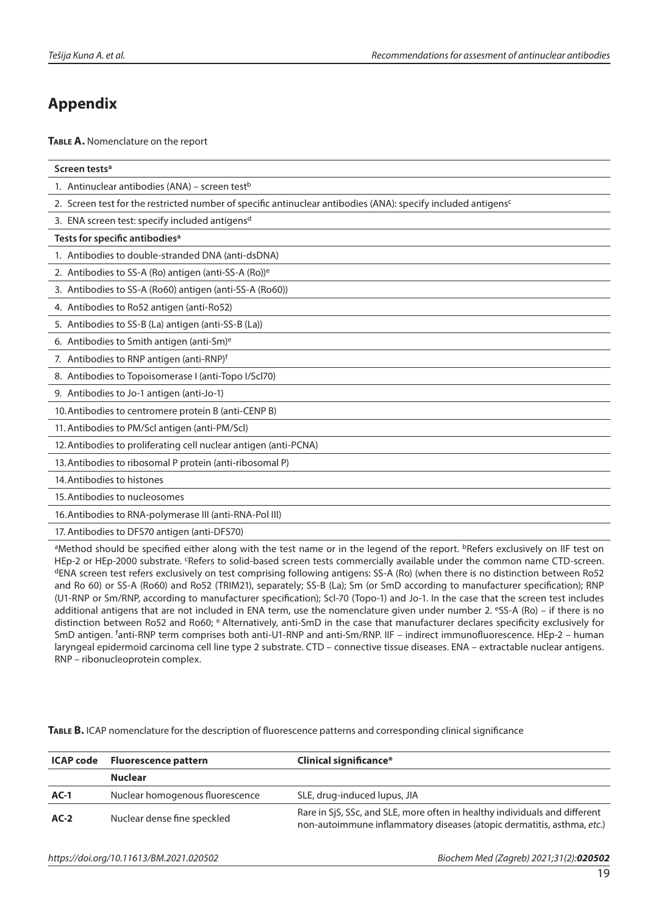# **Appendix**

**Table A.** Nomenclature on the report

| Screen tests <sup>a</sup>                                                                                                                             |  |  |
|-------------------------------------------------------------------------------------------------------------------------------------------------------|--|--|
| 1. Antinuclear antibodies (ANA) – screen test <sup>b</sup>                                                                                            |  |  |
| 2. Screen test for the restricted number of specific antinuclear antibodies (ANA): specify included antigens <sup>c</sup>                             |  |  |
| 3. ENA screen test: specify included antigensd                                                                                                        |  |  |
| Tests for specific antibodies <sup>a</sup>                                                                                                            |  |  |
| 1. Antibodies to double-stranded DNA (anti-dsDNA)                                                                                                     |  |  |
| 2. Antibodies to SS-A (Ro) antigen (anti-SS-A (Ro)) <sup>e</sup>                                                                                      |  |  |
| 3. Antibodies to SS-A (Ro60) antigen (anti-SS-A (Ro60))                                                                                               |  |  |
| 4. Antibodies to Ro52 antigen (anti-Ro52)                                                                                                             |  |  |
| 5. Antibodies to SS-B (La) antigen (anti-SS-B (La))                                                                                                   |  |  |
| 6. Antibodies to Smith antigen (anti-Sm) <sup>e</sup>                                                                                                 |  |  |
| 7. Antibodies to RNP antigen (anti-RNP)f                                                                                                              |  |  |
| 8. Antibodies to Topoisomerase I (anti-Topo I/Scl70)                                                                                                  |  |  |
| 9. Antibodies to Jo-1 antigen (anti-Jo-1)                                                                                                             |  |  |
| 10. Antibodies to centromere protein B (anti-CENP B)                                                                                                  |  |  |
| 11. Antibodies to PM/Scl antigen (anti-PM/Scl)                                                                                                        |  |  |
| 12. Antibodies to proliferating cell nuclear antigen (anti-PCNA)                                                                                      |  |  |
| 13. Antibodies to ribosomal P protein (anti-ribosomal P)                                                                                              |  |  |
| 14. Antibodies to histones                                                                                                                            |  |  |
| 15. Antibodies to nucleosomes                                                                                                                         |  |  |
| 16. Antibodies to RNA-polymerase III (anti-RNA-Pol III)                                                                                               |  |  |
| 17. Antibodies to DFS70 antigen (anti-DFS70)                                                                                                          |  |  |
| <sup>a</sup> Method should be specified either along with the test name or in the legend of the report <sup>b</sup> Refers exclusively on IIF test on |  |  |

Method should be specified either along with the test name or in the legend of the report. <sup>b</sup>Refers exclusively on IIF test on HEp-2 or HEp-2000 substrate. <sup>c</sup>Refers to solid-based screen tests commercially available under the common name CTD-screen. dENA screen test refers exclusively on test comprising following antigens: SS-A (Ro) (when there is no distinction between Ro52 and Ro 60) or SS-A (Ro60) and Ro52 (TRIM21), separately; SS-B (La); Sm (or SmD according to manufacturer specification); RNP (U1-RNP or Sm/RNP, according to manufacturer specification); Scl-70 (Topo-1) and Jo-1. In the case that the screen test includes additional antigens that are not included in ENA term, use the nomenclature given under number 2.  $eSS-A (Ro) - if$  there is no distinction between Ro52 and Ro60; e Alternatively, anti-SmD in the case that manufacturer declares specificity exclusively for SmD antigen. <sup>f</sup>anti-RNP term comprises both anti-U1-RNP and anti-Sm/RNP. IIF – indirect immunofluorescence. HEp-2 – human laryngeal epidermoid carcinoma cell line type 2 substrate. CTD – connective tissue diseases. ENA – extractable nuclear antigens. RNP – ribonucleoprotein complex.

**Table B.** ICAP nomenclature for the description of fluorescence patterns and corresponding clinical significance

| ICAP code | <b>Fluorescence pattern</b>     | Clinical significance*                                                                                                                               |
|-----------|---------------------------------|------------------------------------------------------------------------------------------------------------------------------------------------------|
|           | <b>Nuclear</b>                  |                                                                                                                                                      |
| $AC-1$    | Nuclear homogenous fluorescence | SLE, drug-induced lupus, JIA                                                                                                                         |
| $AC-2$    | Nuclear dense fine speckled     | Rare in SiS, SSc, and SLE, more often in healthy individuals and different<br>non-autoimmune inflammatory diseases (atopic dermatitis, asthma, etc.) |